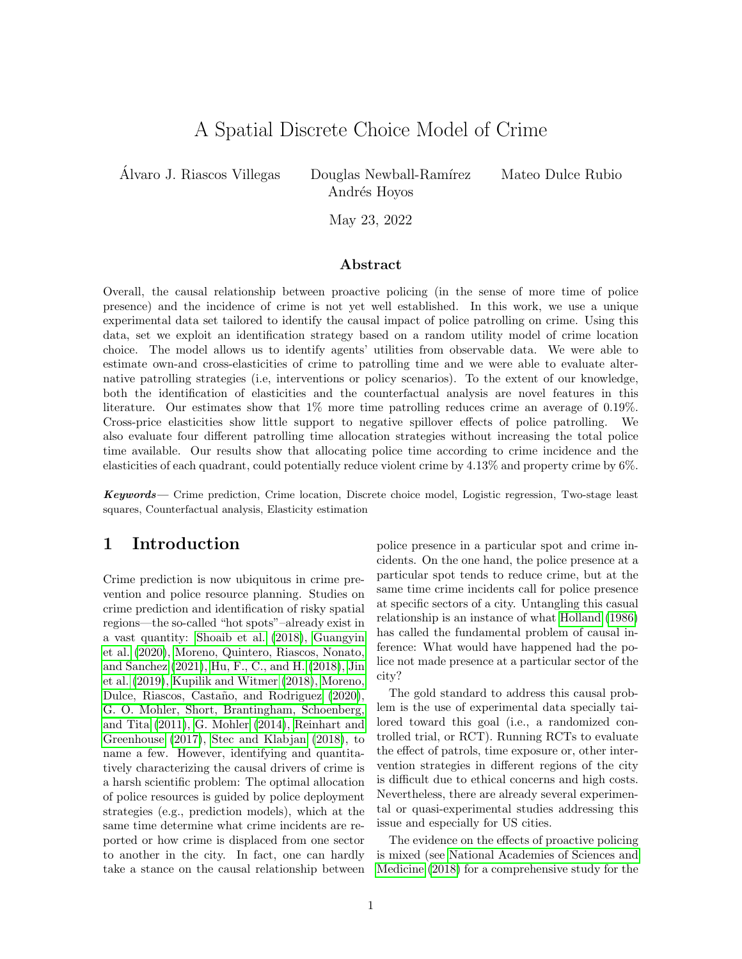# A Spatial Discrete Choice Model of Crime

Alvaro J. Riascos Villegas Douglas Newball-Ramírez Mateo Dulce Rubio

Andrés Hoyos

May 23, 2022

#### Abstract

Overall, the causal relationship between proactive policing (in the sense of more time of police presence) and the incidence of crime is not yet well established. In this work, we use a unique experimental data set tailored to identify the causal impact of police patrolling on crime. Using this data, set we exploit an identification strategy based on a random utility model of crime location choice. The model allows us to identify agents' utilities from observable data. We were able to estimate own-and cross-elasticities of crime to patrolling time and we were able to evaluate alternative patrolling strategies (i.e, interventions or policy scenarios). To the extent of our knowledge, both the identification of elasticities and the counterfactual analysis are novel features in this literature. Our estimates show that 1% more time patrolling reduces crime an average of 0.19%. Cross-price elasticities show little support to negative spillover effects of police patrolling. We also evaluate four different patrolling time allocation strategies without increasing the total police time available. Our results show that allocating police time according to crime incidence and the elasticities of each quadrant, could potentially reduce violent crime by 4.13% and property crime by 6%.

Keywords— Crime prediction, Crime location, Discrete choice model, Logistic regression, Two-stage least squares, Counterfactual analysis, Elasticity estimation

### 1 Introduction

Crime prediction is now ubiquitous in crime prevention and police resource planning. Studies on crime prediction and identification of risky spatial regions—the so-called "hot spots"–already exist in a vast quantity: [Shoaib et al.](#page-12-0) [\(2018\)](#page-12-0), [Guangyin](#page-11-0) [et al.](#page-11-0) [\(2020\)](#page-11-0), [Moreno, Quintero, Riascos, Nonato,](#page-11-1) [and Sanchez](#page-11-1) [\(2021\)](#page-11-1), [Hu, F., C., and H.](#page-11-2) [\(2018\)](#page-11-2), [Jin](#page-11-3) [et al.](#page-11-3) [\(2019\)](#page-11-3), [Kupilik and Witmer](#page-11-4) [\(2018\)](#page-11-4), [Moreno,](#page-11-5) Dulce, Riascos, Castaño, and Rodriguez [\(2020\)](#page-11-5), [G. O. Mohler, Short, Brantingham, Schoenberg,](#page-11-6) [and Tita](#page-11-6) [\(2011\)](#page-11-6), [G. Mohler](#page-11-7) [\(2014\)](#page-11-7), [Reinhart and](#page-11-8) [Greenhouse](#page-11-8) [\(2017\)](#page-11-8), [Stec and Klabjan](#page-12-1) [\(2018\)](#page-12-1), to name a few. However, identifying and quantitatively characterizing the causal drivers of crime is a harsh scientific problem: The optimal allocation of police resources is guided by police deployment strategies (e.g., prediction models), which at the same time determine what crime incidents are reported or how crime is displaced from one sector to another in the city. In fact, one can hardly take a stance on the causal relationship between police presence in a particular spot and crime incidents. On the one hand, the police presence at a particular spot tends to reduce crime, but at the same time crime incidents call for police presence at specific sectors of a city. Untangling this casual relationship is an instance of what [Holland](#page-11-9) [\(1986\)](#page-11-9) has called the fundamental problem of causal inference: What would have happened had the police not made presence at a particular sector of the city?

The gold standard to address this causal problem is the use of experimental data specially tailored toward this goal (i.e., a randomized controlled trial, or RCT). Running RCTs to evaluate the effect of patrols, time exposure or, other intervention strategies in different regions of the city is difficult due to ethical concerns and high costs. Nevertheless, there are already several experimental or quasi-experimental studies addressing this issue and especially for US cities.

The evidence on the effects of proactive policing is mixed (see [National Academies of Sciences and](#page-11-10) [Medicine](#page-11-10) [\(2018\)](#page-11-10) for a comprehensive study for the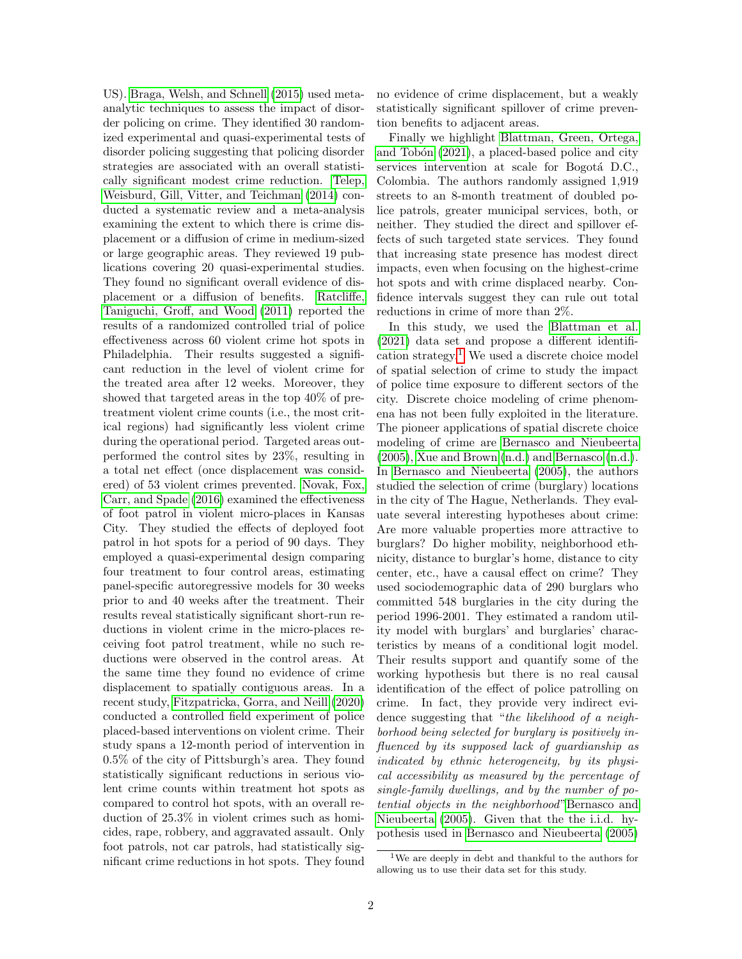US). [Braga, Welsh, and Schnell](#page-11-11) [\(2015\)](#page-11-11) used metaanalytic techniques to assess the impact of disorder policing on crime. They identified 30 randomized experimental and quasi-experimental tests of disorder policing suggesting that policing disorder strategies are associated with an overall statistically significant modest crime reduction. [Telep,](#page-12-2) [Weisburd, Gill, Vitter, and Teichman](#page-12-2) [\(2014\)](#page-12-2) conducted a systematic review and a meta-analysis examining the extent to which there is crime displacement or a diffusion of crime in medium-sized or large geographic areas. They reviewed 19 publications covering 20 quasi-experimental studies. They found no significant overall evidence of displacement or a diffusion of benefits. [Ratcliffe,](#page-11-12) [Taniguchi, Groff, and Wood](#page-11-12) [\(2011\)](#page-11-12) reported the results of a randomized controlled trial of police effectiveness across 60 violent crime hot spots in Philadelphia. Their results suggested a significant reduction in the level of violent crime for the treated area after 12 weeks. Moreover, they showed that targeted areas in the top 40% of pretreatment violent crime counts (i.e., the most critical regions) had significantly less violent crime during the operational period. Targeted areas outperformed the control sites by 23%, resulting in a total net effect (once displacement was considered) of 53 violent crimes prevented. [Novak, Fox,](#page-11-13) [Carr, and Spade](#page-11-13) [\(2016\)](#page-11-13) examined the effectiveness of foot patrol in violent micro-places in Kansas City. They studied the effects of deployed foot patrol in hot spots for a period of 90 days. They employed a quasi-experimental design comparing four treatment to four control areas, estimating panel-specific autoregressive models for 30 weeks prior to and 40 weeks after the treatment. Their results reveal statistically significant short-run reductions in violent crime in the micro-places receiving foot patrol treatment, while no such reductions were observed in the control areas. At the same time they found no evidence of crime displacement to spatially contiguous areas. In a recent study, [Fitzpatricka, Gorra, and Neill](#page-11-14) [\(2020\)](#page-11-14) conducted a controlled field experiment of police placed-based interventions on violent crime. Their study spans a 12-month period of intervention in 0.5% of the city of Pittsburgh's area. They found statistically significant reductions in serious violent crime counts within treatment hot spots as compared to control hot spots, with an overall reduction of 25.3% in violent crimes such as homicides, rape, robbery, and aggravated assault. Only foot patrols, not car patrols, had statistically significant crime reductions in hot spots. They found no evidence of crime displacement, but a weakly statistically significant spillover of crime prevention benefits to adjacent areas.

Finally we highlight [Blattman, Green, Ortega,](#page-10-0) and Tobón  $(2021)$ , a placed-based police and city services intervention at scale for Bogotá D.C., Colombia. The authors randomly assigned 1,919 streets to an 8-month treatment of doubled police patrols, greater municipal services, both, or neither. They studied the direct and spillover effects of such targeted state services. They found that increasing state presence has modest direct impacts, even when focusing on the highest-crime hot spots and with crime displaced nearby. Confidence intervals suggest they can rule out total reductions in crime of more than 2%.

In this study, we used the [Blattman et al.](#page-10-0) [\(2021\)](#page-10-0) data set and propose a different identification strategy.[1](#page-1-0) We used a discrete choice model of spatial selection of crime to study the impact of police time exposure to different sectors of the city. Discrete choice modeling of crime phenomena has not been fully exploited in the literature. The pioneer applications of spatial discrete choice modeling of crime are [Bernasco and Nieubeerta](#page-10-1) [\(2005\)](#page-10-1), [Xue and Brown](#page-12-3) [\(n.d.\)](#page-12-3) and [Bernasco](#page-10-2) [\(n.d.\)](#page-10-2). In [Bernasco and Nieubeerta](#page-10-1) [\(2005\)](#page-10-1), the authors studied the selection of crime (burglary) locations in the city of The Hague, Netherlands. They evaluate several interesting hypotheses about crime: Are more valuable properties more attractive to burglars? Do higher mobility, neighborhood ethnicity, distance to burglar's home, distance to city center, etc., have a causal effect on crime? They used sociodemographic data of 290 burglars who committed 548 burglaries in the city during the period 1996-2001. They estimated a random utility model with burglars' and burglaries' characteristics by means of a conditional logit model. Their results support and quantify some of the working hypothesis but there is no real causal identification of the effect of police patrolling on crime. In fact, they provide very indirect evidence suggesting that "the likelihood of a neighborhood being selected for burglary is positively influenced by its supposed lack of guardianship as indicated by ethnic heterogeneity, by its physical accessibility as measured by the percentage of single-family dwellings, and by the number of potential objects in the neighborhood["Bernasco and](#page-10-1) [Nieubeerta](#page-10-1) [\(2005\)](#page-10-1). Given that the the i.i.d. hypothesis used in [Bernasco and Nieubeerta](#page-10-1) [\(2005\)](#page-10-1)

<span id="page-1-0"></span><sup>1</sup>We are deeply in debt and thankful to the authors for allowing us to use their data set for this study.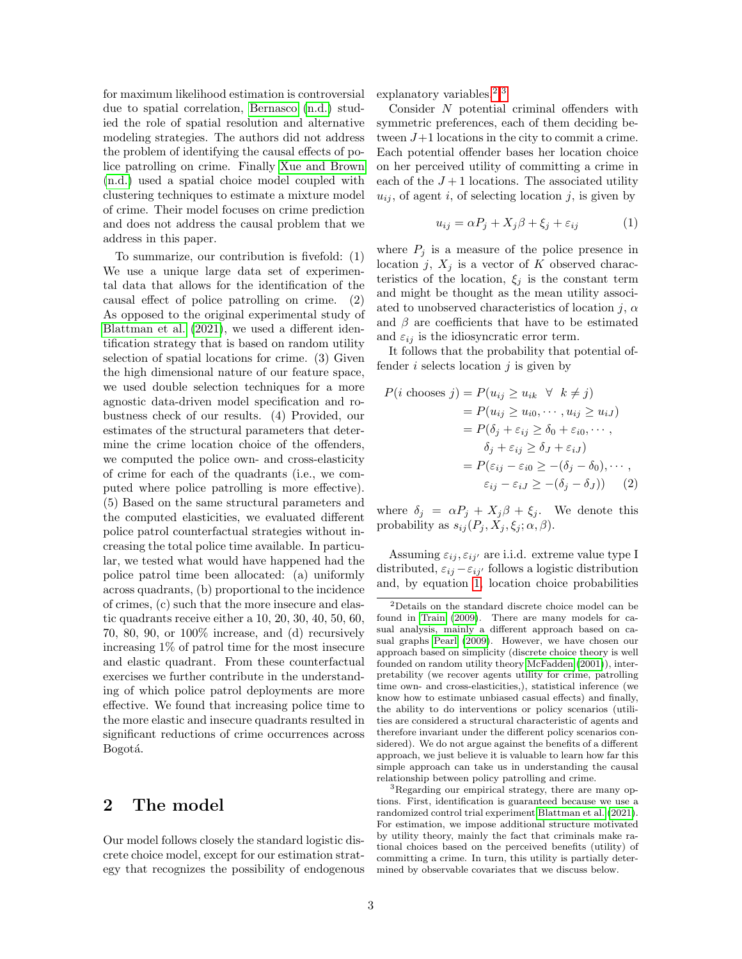for maximum likelihood estimation is controversial due to spatial correlation, [Bernasco](#page-10-2) [\(n.d.\)](#page-10-2) studied the role of spatial resolution and alternative modeling strategies. The authors did not address the problem of identifying the causal effects of police patrolling on crime. Finally [Xue and Brown](#page-12-3) [\(n.d.\)](#page-12-3) used a spatial choice model coupled with clustering techniques to estimate a mixture model of crime. Their model focuses on crime prediction and does not address the causal problem that we address in this paper.

To summarize, our contribution is fivefold: (1) We use a unique large data set of experimental data that allows for the identification of the causal effect of police patrolling on crime. (2) As opposed to the original experimental study of [Blattman et al.](#page-10-0) [\(2021\)](#page-10-0), we used a different identification strategy that is based on random utility selection of spatial locations for crime. (3) Given the high dimensional nature of our feature space, we used double selection techniques for a more agnostic data-driven model specification and robustness check of our results. (4) Provided, our estimates of the structural parameters that determine the crime location choice of the offenders, we computed the police own- and cross-elasticity of crime for each of the quadrants (i.e., we computed where police patrolling is more effective). (5) Based on the same structural parameters and the computed elasticities, we evaluated different police patrol counterfactual strategies without increasing the total police time available. In particular, we tested what would have happened had the police patrol time been allocated: (a) uniformly across quadrants, (b) proportional to the incidence of crimes, (c) such that the more insecure and elastic quadrants receive either a 10, 20, 30, 40, 50, 60, 70, 80, 90, or 100% increase, and (d) recursively increasing 1% of patrol time for the most insecure and elastic quadrant. From these counterfactual exercises we further contribute in the understanding of which police patrol deployments are more effective. We found that increasing police time to the more elastic and insecure quadrants resulted in significant reductions of crime occurrences across Bogotá.

## <span id="page-2-3"></span>2 The model

Our model follows closely the standard logistic discrete choice model, except for our estimation strategy that recognizes the possibility of endogenous explanatory variables.<sup>[2](#page-2-0),[3](#page-2-1)</sup>

Consider N potential criminal offenders with symmetric preferences, each of them deciding between  $J+1$  locations in the city to commit a crime. Each potential offender bases her location choice on her perceived utility of committing a crime in each of the  $J+1$  locations. The associated utility  $u_{ij}$ , of agent i, of selecting location j, is given by

<span id="page-2-2"></span>
$$
u_{ij} = \alpha P_j + X_j \beta + \xi_j + \varepsilon_{ij} \tag{1}
$$

where  $P_i$  is a measure of the police presence in location j,  $X_i$  is a vector of K observed characteristics of the location,  $\xi_j$  is the constant term and might be thought as the mean utility associated to unobserved characteristics of location  $j$ ,  $\alpha$ and  $\beta$  are coefficients that have to be estimated and  $\varepsilon_{ij}$  is the idiosyncratic error term.

It follows that the probability that potential offender  $i$  selects location  $j$  is given by

$$
P(i \text{ chooses } j) = P(u_{ij} \ge u_{ik} \forall k \ne j)
$$
  
=  $P(u_{ij} \ge u_{i0}, \dots, u_{ij} \ge u_{iJ})$   
=  $P(\delta_j + \varepsilon_{ij} \ge \delta_0 + \varepsilon_{i0}, \dots,$   
 $\delta_j + \varepsilon_{ij} \ge \delta_J + \varepsilon_{iJ})$   
=  $P(\varepsilon_{ij} - \varepsilon_{i0} \ge -(\delta_j - \delta_0), \dots,$   
 $\varepsilon_{ij} - \varepsilon_{iJ} \ge -(\delta_j - \delta_J))$  (2)

where  $\delta_j = \alpha P_j + X_j \beta + \xi_j$ . We denote this probability as  $s_{ij}(P_j, X_j, \xi_j; \alpha, \beta)$ .

Assuming  $\varepsilon_{ij}, \varepsilon_{ij'}$  are i.i.d. extreme value type I distributed,  $\varepsilon_{ij} - \varepsilon_{ij'}$  follows a logistic distribution and, by equation [1,](#page-2-2) location choice probabilities

<span id="page-2-0"></span><sup>2</sup>Details on the standard discrete choice model can be found in [Train](#page-12-4) [\(2009\)](#page-12-4). There are many models for casual analysis, mainly a different approach based on casual graphs [Pearl](#page-11-15) [\(2009\)](#page-11-15). However, we have chosen our approach based on simplicity (discrete choice theory is well founded on random utility theory [McFadden](#page-11-16) [\(2001\)](#page-11-16)), interpretability (we recover agents utility for crime, patrolling time own- and cross-elasticities,), statistical inference (we know how to estimate unbiased casual effects) and finally, the ability to do interventions or policy scenarios (utilities are considered a structural characteristic of agents and therefore invariant under the different policy scenarios considered). We do not argue against the benefits of a different approach, we just believe it is valuable to learn how far this simple approach can take us in understanding the causal relationship between policy patrolling and crime.

<span id="page-2-1"></span><sup>&</sup>lt;sup>3</sup>Regarding our empirical strategy, there are many options. First, identification is guaranteed because we use a randomized control trial experiment [Blattman et al.](#page-10-0) [\(2021\)](#page-10-0). For estimation, we impose additional structure motivated by utility theory, mainly the fact that criminals make rational choices based on the perceived benefits (utility) of committing a crime. In turn, this utility is partially determined by observable covariates that we discuss below.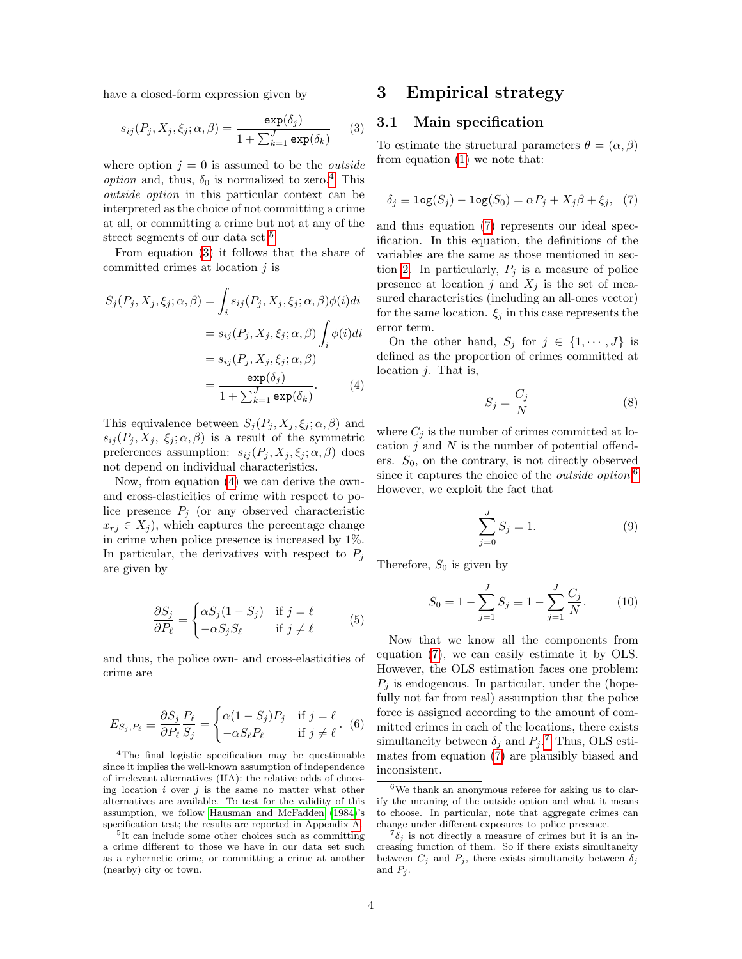have a closed-form expression given by

<span id="page-3-2"></span>
$$
s_{ij}(P_j, X_j, \xi_j; \alpha, \beta) = \frac{\exp(\delta_j)}{1 + \sum_{k=1}^J \exp(\delta_k)} \qquad (3)
$$

where option  $j = 0$  is assumed to be the *outside* option and, thus,  $\delta_0$  is normalized to zero.<sup>[4](#page-3-0)</sup> This outside option in this particular context can be interpreted as the choice of not committing a crime at all, or committing a crime but not at any of the street segments of our data set.[5](#page-3-1)

From equation [\(3\)](#page-3-2) it follows that the share of committed crimes at location j is

$$
S_j(P_j, X_j, \xi_j; \alpha, \beta) = \int_i s_{ij}(P_j, X_j, \xi_j; \alpha, \beta) \phi(i) di
$$
  

$$
= s_{ij}(P_j, X_j, \xi_j; \alpha, \beta) \int_i \phi(i) di
$$
  

$$
= s_{ij}(P_j, X_j, \xi_j; \alpha, \beta)
$$
  

$$
= \frac{\exp(\delta_j)}{1 + \sum_{k=1}^J \exp(\delta_k)}.
$$
 (4)

This equivalence between  $S_i(P_i, X_i, \xi_i; \alpha, \beta)$  and  $s_{ij} (P_i, X_j, \xi_j; \alpha, \beta)$  is a result of the symmetric preferences assumption:  $s_{ij}(P_j, X_j, \xi_j; \alpha, \beta)$  does not depend on individual characteristics.

Now, from equation [\(4\)](#page-3-3) we can derive the ownand cross-elasticities of crime with respect to police presence  $P_j$  (or any observed characteristic  $x_{rj} \in X_j$ , which captures the percentage change in crime when police presence is increased by 1%. In particular, the derivatives with respect to  $P_i$ are given by

$$
\frac{\partial S_j}{\partial P_\ell} = \begin{cases} \alpha S_j (1 - S_j) & \text{if } j = \ell \\ -\alpha S_j S_\ell & \text{if } j \neq \ell \end{cases} \tag{5}
$$

and thus, the police own- and cross-elasticities of crime are

$$
E_{S_j, P_\ell} \equiv \frac{\partial S_j}{\partial P_\ell} \frac{P_\ell}{S_j} = \begin{cases} \alpha(1 - S_j)P_j & \text{if } j = \ell \\ -\alpha S_\ell P_\ell & \text{if } j \neq \ell \end{cases} . (6)
$$

## <span id="page-3-7"></span>3 Empirical strategy

#### 3.1 Main specification

To estimate the structural parameters  $\theta = (\alpha, \beta)$ from equation [\(1\)](#page-2-2) we note that:

<span id="page-3-4"></span>
$$
\delta_j \equiv \log(S_j) - \log(S_0) = \alpha P_j + X_j \beta + \xi_j, \quad (7)
$$

and thus equation [\(7\)](#page-3-4) represents our ideal specification. In this equation, the definitions of the variables are the same as those mentioned in sec-tion [2.](#page-2-3) In particularly,  $P_j$  is a measure of police presence at location  $j$  and  $X_j$  is the set of measured characteristics (including an all-ones vector) for the same location.  $\xi_j$  in this case represents the error term.

<span id="page-3-3"></span>On the other hand,  $S_j$  for  $j \in \{1, \dots, J\}$  is defined as the proportion of crimes committed at location  $j$ . That is,

$$
S_j = \frac{C_j}{N} \tag{8}
$$

where  $C_j$  is the number of crimes committed at location  $j$  and  $N$  is the number of potential offenders.  $S_0$ , on the contrary, is not directly observed since it captures the choice of the *outside option*.<sup>[6](#page-3-5)</sup> However, we exploit the fact that

$$
\sum_{j=0}^{J} S_j = 1.
$$
 (9)

Therefore,  $S_0$  is given by

$$
S_0 = 1 - \sum_{j=1}^{J} S_j \equiv 1 - \sum_{j=1}^{J} \frac{C_j}{N}.
$$
 (10)

<span id="page-3-8"></span>Now that we know all the components from equation [\(7\)](#page-3-4), we can easily estimate it by OLS. However, the OLS estimation faces one problem:  $P_i$  is endogenous. In particular, under the (hopefully not far from real) assumption that the police force is assigned according to the amount of committed crimes in each of the locations, there exists simultaneity between  $\delta_j$  and  $P_j$ .<sup>[7](#page-3-6)</sup> Thus, OLS estimates from equation [\(7\)](#page-3-4) are plausibly biased and inconsistent.

<span id="page-3-0"></span><sup>4</sup>The final logistic specification may be questionable since it implies the well-known assumption of independence of irrelevant alternatives (IIA): the relative odds of choosing location  $i$  over  $j$  is the same no matter what other alternatives are available. To test for the validity of this assumption, we follow [Hausman and McFadden](#page-11-17) [\(1984\)](#page-11-17)'s specification test; the results are reported in Appendix [A.](#page-12-5)

<span id="page-3-1"></span><sup>5</sup> It can include some other choices such as committing a crime different to those we have in our data set such as a cybernetic crime, or committing a crime at another (nearby) city or town.

<span id="page-3-5"></span> $6W$ e thank an anonymous referee for asking us to clarify the meaning of the outside option and what it means to choose. In particular, note that aggregate crimes can change under different exposures to police presence.

<span id="page-3-6"></span> ${}^{7}\delta_{j}$  is not directly a measure of crimes but it is an increasing function of them. So if there exists simultaneity between  $C_j$  and  $P_j$ , there exists simultaneity between  $\delta_j$ and  $P_j$ .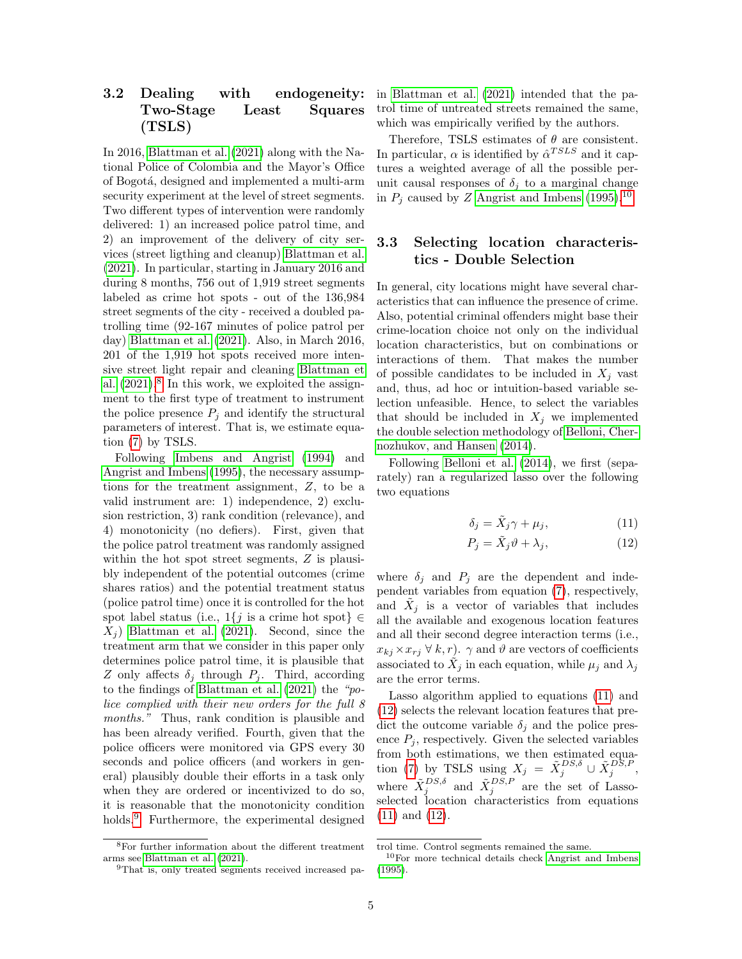## 3.2 Dealing with endogeneity: Two-Stage Least Squares (TSLS)

In 2016, [Blattman et al.](#page-10-0) [\(2021\)](#page-10-0) along with the National Police of Colombia and the Mayor's Office of Bogot´a, designed and implemented a multi-arm security experiment at the level of street segments. Two different types of intervention were randomly delivered: 1) an increased police patrol time, and 2) an improvement of the delivery of city services (street ligthing and cleanup) [Blattman et al.](#page-10-0) [\(2021\)](#page-10-0). In particular, starting in January 2016 and during 8 months, 756 out of 1,919 street segments labeled as crime hot spots - out of the 136,984 street segments of the city - received a doubled patrolling time (92-167 minutes of police patrol per day) [Blattman et al.](#page-10-0) [\(2021\)](#page-10-0). Also, in March 2016, 201 of the 1,919 hot spots received more intensive street light repair and cleaning [Blattman et](#page-10-0) [al.](#page-10-0)  $(2021).<sup>8</sup>$  $(2021).<sup>8</sup>$  $(2021).<sup>8</sup>$  $(2021).<sup>8</sup>$  In this work, we exploited the assignment to the first type of treatment to instrument the police presence  $P_j$  and identify the structural parameters of interest. That is, we estimate equation [\(7\)](#page-3-4) by TSLS.

Following [Imbens and Angrist](#page-11-18) [\(1994\)](#page-11-18) and [Angrist and Imbens](#page-10-3) [\(1995\)](#page-10-3), the necessary assumptions for the treatment assignment, Z, to be a valid instrument are: 1) independence, 2) exclusion restriction, 3) rank condition (relevance), and 4) monotonicity (no defiers). First, given that the police patrol treatment was randomly assigned within the hot spot street segments,  $Z$  is plausibly independent of the potential outcomes (crime shares ratios) and the potential treatment status (police patrol time) once it is controlled for the hot spot label status (i.e.,  $1\{j$  is a crime hot spot $\} \in$  $X_i$ ) [Blattman et al.](#page-10-0) [\(2021\)](#page-10-0). Second, since the treatment arm that we consider in this paper only determines police patrol time, it is plausible that Z only affects  $\delta_j$  through  $P_j$ . Third, according to the findings of [Blattman et al.](#page-10-0) [\(2021\)](#page-10-0) the "police complied with their new orders for the full 8 months." Thus, rank condition is plausible and has been already verified. Fourth, given that the police officers were monitored via GPS every 30 seconds and police officers (and workers in general) plausibly double their efforts in a task only when they are ordered or incentivized to do so, it is reasonable that the monotonicity condition holds.[9](#page-4-1) Furthermore, the experimental designed

<span id="page-4-0"></span><sup>8</sup>For further information about the different treatment arms see [Blattman et al.](#page-10-0) [\(2021\)](#page-10-0).

in [Blattman et al.](#page-10-0) [\(2021\)](#page-10-0) intended that the patrol time of untreated streets remained the same, which was empirically verified by the authors.

Therefore, TSLS estimates of  $\theta$  are consistent. In particular,  $\alpha$  is identified by  $\hat{\alpha}^{TSLS}$  and it captures a weighted average of all the possible perunit causal responses of  $\delta_j$  to a marginal change in  $P_j$  caused by Z [Angrist and Imbens](#page-10-3) [\(1995\)](#page-10-3).<sup>[10](#page-4-2)</sup>

## 3.3 Selecting location characteristics - Double Selection

In general, city locations might have several characteristics that can influence the presence of crime. Also, potential criminal offenders might base their crime-location choice not only on the individual location characteristics, but on combinations or interactions of them. That makes the number of possible candidates to be included in  $X_i$  vast and, thus, ad hoc or intuition-based variable selection unfeasible. Hence, to select the variables that should be included in  $X_i$  we implemented the double selection methodology of [Belloni, Cher](#page-10-4)[nozhukov, and Hansen](#page-10-4) [\(2014\)](#page-10-4).

Following [Belloni et al.](#page-10-4) [\(2014\)](#page-10-4), we first (separately) ran a regularized lasso over the following two equations

<span id="page-4-4"></span><span id="page-4-3"></span>
$$
\delta_j = \tilde{X}_j \gamma + \mu_j,\tag{11}
$$

$$
P_j = \tilde{X}_j \vartheta + \lambda_j,\tag{12}
$$

where  $\delta_i$  and  $P_i$  are the dependent and independent variables from equation [\(7\)](#page-3-4), respectively, and  $\tilde{X}_j$  is a vector of variables that includes all the available and exogenous location features and all their second degree interaction terms (i.e.,  $x_{kj} \times x_{rj} \forall k, r$ .  $\gamma$  and  $\vartheta$  are vectors of coefficients associated to  $\tilde{X}_j$  in each equation, while  $\mu_j$  and  $\lambda_j$ are the error terms.

Lasso algorithm applied to equations [\(11\)](#page-4-3) and [\(12\)](#page-4-4) selects the relevant location features that predict the outcome variable  $\delta_j$  and the police presence  $P_i$ , respectively. Given the selected variables from both estimations, we then estimated equa-tion [\(7\)](#page-3-4) by TSLS using  $X_j = \tilde{X}_j^{DS,\delta} \cup \tilde{X}_j^{DS,P}$ , where  $\tilde{X}_j^{DS,\delta}$  and  $\tilde{X}_j^{DS,P}$  are the set of Lassoselected location characteristics from equations [\(11\)](#page-4-3) and [\(12\)](#page-4-4).

<span id="page-4-1"></span><sup>9</sup>That is, only treated segments received increased pa-

trol time. Control segments remained the same.

<span id="page-4-2"></span><sup>10</sup>For more technical details check [Angrist and Imbens](#page-10-3) [\(1995\)](#page-10-3).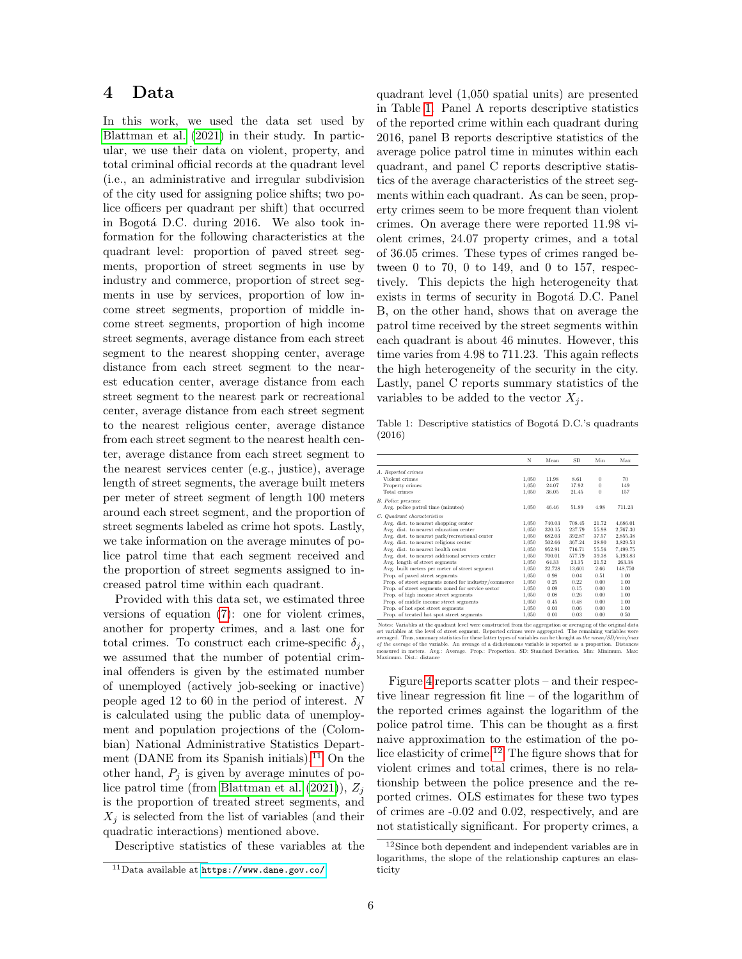## 4 Data

In this work, we used the data set used by [Blattman et al.](#page-10-0) [\(2021\)](#page-10-0) in their study. In particular, we use their data on violent, property, and total criminal official records at the quadrant level (i.e., an administrative and irregular subdivision of the city used for assigning police shifts; two police officers per quadrant per shift) that occurred in Bogotá D.C. during 2016. We also took information for the following characteristics at the quadrant level: proportion of paved street segments, proportion of street segments in use by industry and commerce, proportion of street segments in use by services, proportion of low income street segments, proportion of middle income street segments, proportion of high income street segments, average distance from each street segment to the nearest shopping center, average distance from each street segment to the nearest education center, average distance from each street segment to the nearest park or recreational center, average distance from each street segment to the nearest religious center, average distance from each street segment to the nearest health center, average distance from each street segment to the nearest services center (e.g., justice), average length of street segments, the average built meters per meter of street segment of length 100 meters around each street segment, and the proportion of street segments labeled as crime hot spots. Lastly, we take information on the average minutes of police patrol time that each segment received and the proportion of street segments assigned to increased patrol time within each quadrant.

Provided with this data set, we estimated three versions of equation [\(7\)](#page-3-4): one for violent crimes, another for property crimes, and a last one for total crimes. To construct each crime-specific  $\delta_i$ , we assumed that the number of potential criminal offenders is given by the estimated number of unemployed (actively job-seeking or inactive) people aged 12 to 60 in the period of interest. N is calculated using the public data of unemployment and population projections of the (Colombian) National Administrative Statistics Depart-ment (DANE from its Spanish initials).<sup>[11](#page-5-0)</sup> On the other hand,  $P_i$  is given by average minutes of po-lice patrol time (from [Blattman et al.](#page-10-0)  $(2021)$ ),  $Z_i$ is the proportion of treated street segments, and  $X_i$  is selected from the list of variables (and their quadratic interactions) mentioned above.

Descriptive statistics of these variables at the

quadrant level (1,050 spatial units) are presented in Table [1.](#page-5-1) Panel A reports descriptive statistics of the reported crime within each quadrant during 2016, panel B reports descriptive statistics of the average police patrol time in minutes within each quadrant, and panel C reports descriptive statistics of the average characteristics of the street segments within each quadrant. As can be seen, property crimes seem to be more frequent than violent crimes. On average there were reported 11.98 violent crimes, 24.07 property crimes, and a total of 36.05 crimes. These types of crimes ranged between 0 to 70, 0 to 149, and 0 to 157, respectively. This depicts the high heterogeneity that exists in terms of security in Bogotá D.C. Panel B, on the other hand, shows that on average the patrol time received by the street segments within each quadrant is about 46 minutes. However, this time varies from 4.98 to 711.23. This again reflects the high heterogeneity of the security in the city. Lastly, panel C reports summary statistics of the variables to be added to the vector  $X_i$ .

Table 1: Descriptive statistics of Bogotá D.C.'s quadrants (2016)

<span id="page-5-1"></span>

|                                                                                                              | N     | Mean   | SD     | Min      | Max      |
|--------------------------------------------------------------------------------------------------------------|-------|--------|--------|----------|----------|
| A. Reported crimes                                                                                           |       |        |        |          |          |
| Violent crimes                                                                                               | 1,050 | 11.98  | 8.61   | $\bf{0}$ | 70       |
| Property crimes                                                                                              | 1,050 | 24.07  | 17.92  | $\Omega$ | 149      |
| Total crimes                                                                                                 | 1,050 | 36.05  | 21.45  | 0        | 157      |
| <b>B.</b> Police presence                                                                                    |       |        |        |          |          |
| Avg. police patrol time (minutes)                                                                            | 1,050 | 46.46  | 51.89  | 4.98     | 711.23   |
| C. Quadrant characteristics                                                                                  |       |        |        |          |          |
| Avg. dist. to nearest shopping center                                                                        | 1,050 | 740.03 | 708.45 | 21.72    | 4,686.01 |
| Avg. dist. to nearest education center                                                                       | 1,050 | 320.15 | 237.79 | 55.98    | 2,767.30 |
| Avg. dist. to nearest park/recreational center                                                               | 1,050 | 682.03 | 392.87 | 37.57    | 2,855.38 |
| Avg. dist. to nearest religious center                                                                       | 1,050 | 502.66 | 367.24 | 28.90    | 3.829.53 |
| Avg. dist. to nearest health center                                                                          | 1.050 | 952.91 | 716.71 | 55.56    | 7,499.75 |
| Avg. dist. to nearest additional services center                                                             | 1.050 | 700.01 | 577.79 | 39.38    | 5,193.83 |
| Avg. length of street segments                                                                               | 1.050 | 64.33  | 23.35  | 21.52    | 263.38   |
| Avg. built meters per meter of street segment                                                                | 1,050 | 22.728 | 13.601 | 2.66     | 148,750  |
| Prop. of paved street segments                                                                               | 1.050 | 0.98   | 0.04   | 0.51     | 1.00     |
| Prop. of street segments zoned for industry/commerce                                                         | 1.050 | 0.25   | 0.22   | 0.00     | 1.00     |
| Prop. of street segments zoned for service sector                                                            | 1,050 | 0.09   | 0.15   | 0.00     | 1.00     |
| Prop. of high income street segments                                                                         | 1.050 | 0.08   | 0.26   | 0.00     | 1.00     |
| Prop. of middle income street segments                                                                       | 1.050 | 0.45   | 0.48   | 0.00     | 1.00     |
| Prop. of hot spot street segments                                                                            | 1.050 | 0.03   | 0.06   | 0.00     | 1.00     |
| Prop. of treated hot spot street segments                                                                    | 1.050 | 0.01   | 0.03   | 0.00     | 0.50     |
| Missing Minishlands she and done land mini-constructed from the composition of constants of the column later |       |        |        |          |          |

Notes: Variables at the quadrant level were constructed from the aggregation or averaging of the original data set variables at the level of stress term in the constructed from the constructed compared at the level of str atenagea. I mas, salimiary basisates for tinese interest operations and the monday of the average of the variable. An average of a dichotomous variable is reported as a proportion. Distance measured in meters. Aver, A vera

Figure [4](#page-12-6) reports scatter plots – and their respective linear regression fit line – of the logarithm of the reported crimes against the logarithm of the police patrol time. This can be thought as a first naive approximation to the estimation of the police elasticity of crime.[12](#page-5-2) The figure shows that for violent crimes and total crimes, there is no relationship between the police presence and the reported crimes. OLS estimates for these two types of crimes are -0.02 and 0.02, respectively, and are not statistically significant. For property crimes, a

<span id="page-5-0"></span><sup>11</sup>Data available at <https://www.dane.gov.co/>.

<span id="page-5-2"></span><sup>12</sup>Since both dependent and independent variables are in logarithms, the slope of the relationship captures an elasticity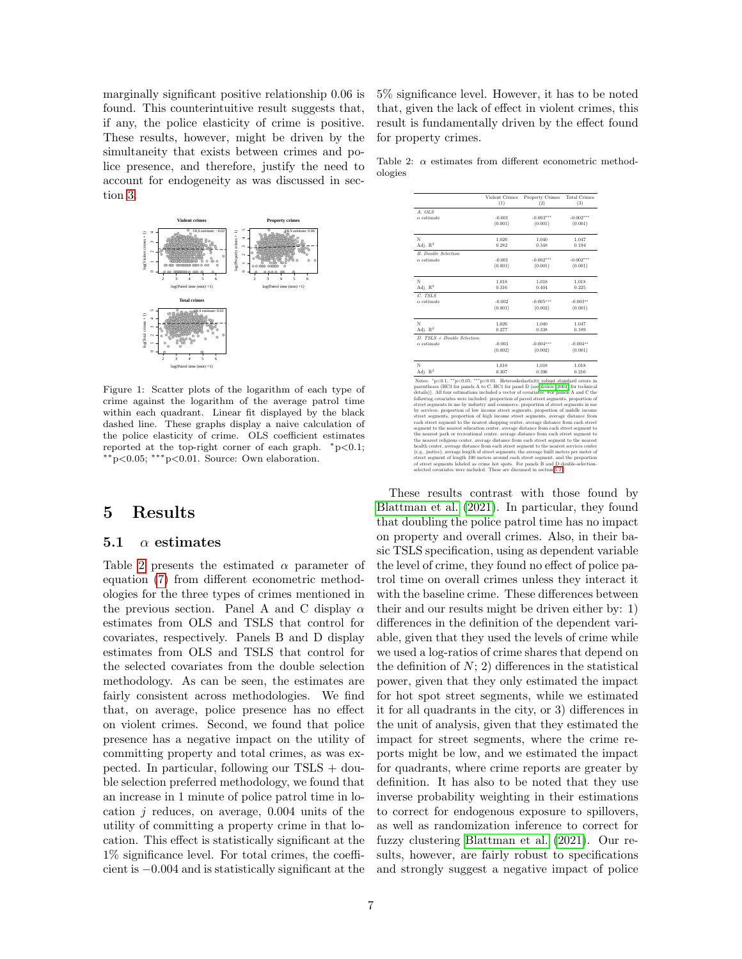marginally significant positive relationship 0.06 is found. This counterintuitive result suggests that, if any, the police elasticity of crime is positive. These results, however, might be driven by the simultaneity that exists between crimes and police presence, and therefore, justify the need to account for endogeneity as was discussed in section [3.](#page-3-7)



Figure 1: Scatter plots of the logarithm of each type of crime against the logarithm of the average patrol time within each quadrant. Linear fit displayed by the black dashed line. These graphs display a naive calculation of the police elasticity of crime. OLS coefficient estimates reported at the top-right corner of each graph. <sup>∗</sup>p<0.1; ∗∗p<0.05; ∗∗∗p<0.01. Source: Own elaboration.

## 5 Results

#### 5.1  $\alpha$  estimates

Table [2](#page-6-0) presents the estimated  $\alpha$  parameter of equation [\(7\)](#page-3-4) from different econometric methodologies for the three types of crimes mentioned in the previous section. Panel A and C display  $\alpha$ estimates from OLS and TSLS that control for covariates, respectively. Panels B and D display estimates from OLS and TSLS that control for the selected covariates from the double selection methodology. As can be seen, the estimates are fairly consistent across methodologies. We find that, on average, police presence has no effect on violent crimes. Second, we found that police presence has a negative impact on the utility of committing property and total crimes, as was expected. In particular, following our  $TSLS +$  double selection preferred methodology, we found that an increase in 1 minute of police patrol time in location  $j$  reduces, on average, 0.004 units of the utility of committing a property crime in that location. This effect is statistically significant at the 1% significance level. For total crimes, the coefficient is −0.004 and is statistically significant at the 5% significance level. However, it has to be noted that, given the lack of effect in violent crimes, this result is fundamentally driven by the effect found for property crimes.

Table 2:  $\alpha$  estimates from different econometric methodologies

<span id="page-6-0"></span>

|                                                                                                                                                                                                                                                                                                                                                                                                                                                                                                                                                                                                                                                                                                                                                                                                                                                                                                                                                                                                                                                                                                                                                                                                                                                                                             | Violent Crimes<br>(1) | <b>Property Crimes</b><br>(2) | <b>Total Crimes</b><br>(3) |
|---------------------------------------------------------------------------------------------------------------------------------------------------------------------------------------------------------------------------------------------------------------------------------------------------------------------------------------------------------------------------------------------------------------------------------------------------------------------------------------------------------------------------------------------------------------------------------------------------------------------------------------------------------------------------------------------------------------------------------------------------------------------------------------------------------------------------------------------------------------------------------------------------------------------------------------------------------------------------------------------------------------------------------------------------------------------------------------------------------------------------------------------------------------------------------------------------------------------------------------------------------------------------------------------|-----------------------|-------------------------------|----------------------------|
| A. OLS                                                                                                                                                                                                                                                                                                                                                                                                                                                                                                                                                                                                                                                                                                                                                                                                                                                                                                                                                                                                                                                                                                                                                                                                                                                                                      |                       |                               |                            |
| $\alpha$ estimate                                                                                                                                                                                                                                                                                                                                                                                                                                                                                                                                                                                                                                                                                                                                                                                                                                                                                                                                                                                                                                                                                                                                                                                                                                                                           | $-0.001$              | $-0.003***$                   | $-0.002***$                |
|                                                                                                                                                                                                                                                                                                                                                                                                                                                                                                                                                                                                                                                                                                                                                                                                                                                                                                                                                                                                                                                                                                                                                                                                                                                                                             | (0.001)               | (0.001)                       | (0.001)                    |
|                                                                                                                                                                                                                                                                                                                                                                                                                                                                                                                                                                                                                                                                                                                                                                                                                                                                                                                                                                                                                                                                                                                                                                                                                                                                                             |                       |                               |                            |
| N                                                                                                                                                                                                                                                                                                                                                                                                                                                                                                                                                                                                                                                                                                                                                                                                                                                                                                                                                                                                                                                                                                                                                                                                                                                                                           | 1,026                 | 1,040                         | 1,047                      |
| Adj. $R^2$                                                                                                                                                                                                                                                                                                                                                                                                                                                                                                                                                                                                                                                                                                                                                                                                                                                                                                                                                                                                                                                                                                                                                                                                                                                                                  | 0.282                 | 0.348                         | 0.194                      |
| <b>B.</b> Double Selection                                                                                                                                                                                                                                                                                                                                                                                                                                                                                                                                                                                                                                                                                                                                                                                                                                                                                                                                                                                                                                                                                                                                                                                                                                                                  |                       |                               |                            |
| $\alpha$ estimate                                                                                                                                                                                                                                                                                                                                                                                                                                                                                                                                                                                                                                                                                                                                                                                                                                                                                                                                                                                                                                                                                                                                                                                                                                                                           | $-0.001$              | $-0.002***$                   | $-0.002***$                |
|                                                                                                                                                                                                                                                                                                                                                                                                                                                                                                                                                                                                                                                                                                                                                                                                                                                                                                                                                                                                                                                                                                                                                                                                                                                                                             | (0.001)               | (0.001)                       | (0.001)                    |
| N                                                                                                                                                                                                                                                                                                                                                                                                                                                                                                                                                                                                                                                                                                                                                                                                                                                                                                                                                                                                                                                                                                                                                                                                                                                                                           | 1,018                 | 1.018                         | 1.018                      |
| Adj. $R^2$                                                                                                                                                                                                                                                                                                                                                                                                                                                                                                                                                                                                                                                                                                                                                                                                                                                                                                                                                                                                                                                                                                                                                                                                                                                                                  | 0.316                 | 0.404                         | 0.225                      |
| C. TSLS                                                                                                                                                                                                                                                                                                                                                                                                                                                                                                                                                                                                                                                                                                                                                                                                                                                                                                                                                                                                                                                                                                                                                                                                                                                                                     |                       |                               |                            |
| $\alpha$ estimate                                                                                                                                                                                                                                                                                                                                                                                                                                                                                                                                                                                                                                                                                                                                                                                                                                                                                                                                                                                                                                                                                                                                                                                                                                                                           | $-0.002$              | $-0.005***$                   | $-0.003**$                 |
|                                                                                                                                                                                                                                                                                                                                                                                                                                                                                                                                                                                                                                                                                                                                                                                                                                                                                                                                                                                                                                                                                                                                                                                                                                                                                             | (0.001)               | (0.002)                       | (0.001)                    |
| N                                                                                                                                                                                                                                                                                                                                                                                                                                                                                                                                                                                                                                                                                                                                                                                                                                                                                                                                                                                                                                                                                                                                                                                                                                                                                           | 1,026                 | 1,040                         | 1,047                      |
| Adj. $\mathbb{R}^2$                                                                                                                                                                                                                                                                                                                                                                                                                                                                                                                                                                                                                                                                                                                                                                                                                                                                                                                                                                                                                                                                                                                                                                                                                                                                         | 0.277                 | 0.338                         | 0.189                      |
| $D. TSLS + Double Selection$                                                                                                                                                                                                                                                                                                                                                                                                                                                                                                                                                                                                                                                                                                                                                                                                                                                                                                                                                                                                                                                                                                                                                                                                                                                                |                       |                               |                            |
| $\alpha$ estimate                                                                                                                                                                                                                                                                                                                                                                                                                                                                                                                                                                                                                                                                                                                                                                                                                                                                                                                                                                                                                                                                                                                                                                                                                                                                           | $-0.003$              | $-0.004***$                   | $-0.004**$                 |
|                                                                                                                                                                                                                                                                                                                                                                                                                                                                                                                                                                                                                                                                                                                                                                                                                                                                                                                                                                                                                                                                                                                                                                                                                                                                                             | (0.002)               | (0.002)                       | (0.001)                    |
| N                                                                                                                                                                                                                                                                                                                                                                                                                                                                                                                                                                                                                                                                                                                                                                                                                                                                                                                                                                                                                                                                                                                                                                                                                                                                                           | 1,018                 | 1.018                         | 1.018                      |
| Adj. $R^2$                                                                                                                                                                                                                                                                                                                                                                                                                                                                                                                                                                                                                                                                                                                                                                                                                                                                                                                                                                                                                                                                                                                                                                                                                                                                                  | 0.307                 | 0.396                         | 0.216                      |
| Notes: $p<0.1$ ; $p<0.05$ ; $***p<0.01$ . Heteroskedasticity robust standard errors in<br>parentheses (HC3 for panels A to C, HC1 for panel D (see Zeileis (2004) for technical<br>details)). All four estimations included a vector of covariates. For panels A and C the<br>following covariates were included: proportion of paved street segments, proportion of<br>street segments in use by industry and commerce, proportion of street segments in use<br>by services, proportion of low income street segments, proportion of middle income<br>street segments, proportion of high income street segments, average distance from<br>each street segment to the nearest shopping center, average distance from each street<br>segment to the nearest education center, average distance from each street segment to<br>the nearest park or recreational center, average distance from each street segment to<br>the nearest religious center, average distance from each street segment to the nearest<br>health center, average distance from each street segment to the nearest services center<br>(e.g., justice), average length of street segments, the average built meters per meter of<br>street segment of length 100 meters around each street segment, and the proportion |                       |                               |                            |

These results contrast with those found by [Blattman et al.](#page-10-0) [\(2021\)](#page-10-0). In particular, they found that doubling the police patrol time has no impact on property and overall crimes. Also, in their basic TSLS specification, using as dependent variable the level of crime, they found no effect of police patrol time on overall crimes unless they interact it with the baseline crime. These differences between their and our results might be driven either by: 1) differences in the definition of the dependent variable, given that they used the levels of crime while we used a log-ratios of crime shares that depend on the definition of  $N$ ; 2) differences in the statistical power, given that they only estimated the impact for hot spot street segments, while we estimated it for all quadrants in the city, or 3) differences in the unit of analysis, given that they estimated the impact for street segments, where the crime reports might be low, and we estimated the impact for quadrants, where crime reports are greater by definition. It has also to be noted that they use inverse probability weighting in their estimations to correct for endogenous exposure to spillovers, as well as randomization inference to correct for fuzzy clustering [Blattman et al.](#page-10-0) [\(2021\)](#page-10-0). Our results, however, are fairly robust to specifications and strongly suggest a negative impact of police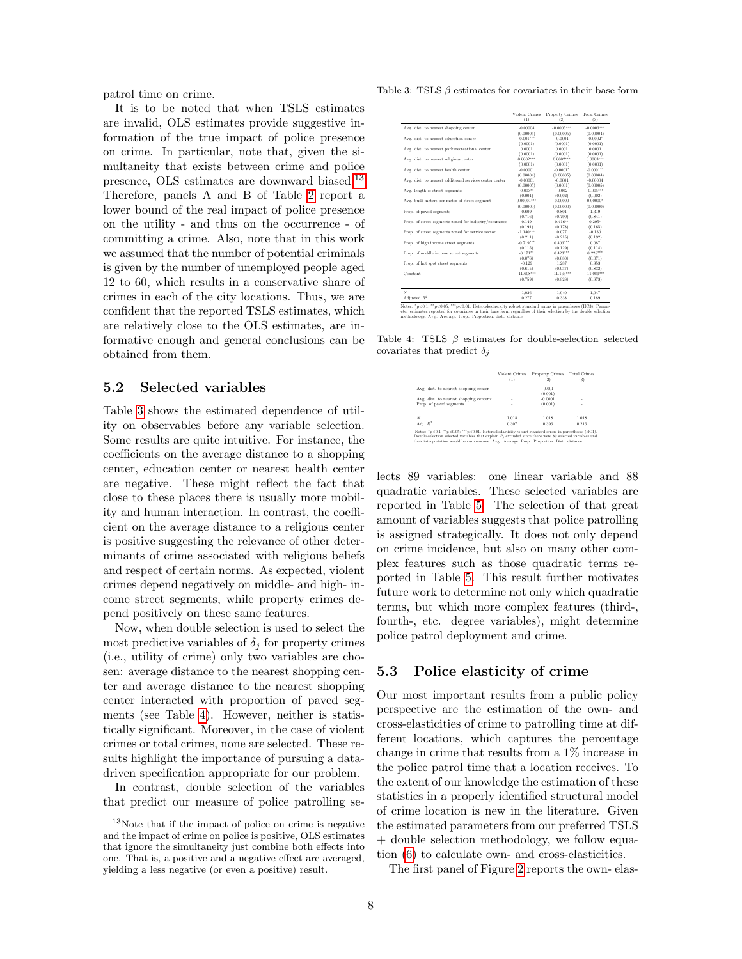patrol time on crime.

It is to be noted that when TSLS estimates are invalid, OLS estimates provide suggestive information of the true impact of police presence on crime. In particular, note that, given the simultaneity that exists between crime and police presence, OLS estimates are downward biased.[13](#page-7-1) Therefore, panels A and B of Table [2](#page-6-0) report a lower bound of the real impact of police presence on the utility - and thus on the occurrence - of committing a crime. Also, note that in this work we assumed that the number of potential criminals is given by the number of unemployed people aged 12 to 60, which results in a conservative share of crimes in each of the city locations. Thus, we are confident that the reported TSLS estimates, which are relatively close to the OLS estimates, are informative enough and general conclusions can be obtained from them.

#### <span id="page-7-0"></span>5.2 Selected variables

Table [3](#page-7-2) shows the estimated dependence of utility on observables before any variable selection. Some results are quite intuitive. For instance, the coefficients on the average distance to a shopping center, education center or nearest health center are negative. These might reflect the fact that close to these places there is usually more mobility and human interaction. In contrast, the coefficient on the average distance to a religious center is positive suggesting the relevance of other determinants of crime associated with religious beliefs and respect of certain norms. As expected, violent crimes depend negatively on middle- and high- income street segments, while property crimes depend positively on these same features.

Now, when double selection is used to select the most predictive variables of  $\delta_j$  for property crimes (i.e., utility of crime) only two variables are chosen: average distance to the nearest shopping center and average distance to the nearest shopping center interacted with proportion of paved segments (see Table [4\)](#page-7-3). However, neither is statistically significant. Moreover, in the case of violent crimes or total crimes, none are selected. These results highlight the importance of pursuing a datadriven specification appropriate for our problem.

In contrast, double selection of the variables that predict our measure of police patrolling se-

Table 3: TSLS β estimates for covariates in their base form

<span id="page-7-2"></span>

|                                                         | Violent Crimes<br>(1) | Property Crimes<br>(2) | <b>Total Crimes</b><br>(3) |
|---------------------------------------------------------|-----------------------|------------------------|----------------------------|
| Avg. dist. to nearest shopping center                   | $-0.00004$            | $-0.0005***$           | $-0.0003***$               |
|                                                         | (0.00005)             | (0.00005)              | (0.00004)                  |
| Avg. dist. to nearest education center                  | $-0.001***$           | $-0.0001$              | $-0.0002"$                 |
|                                                         | (0.0001)              | (0.0001)               | (0.0001)                   |
| Avg. dist. to nearest park/recreational center          | 0.0001                | 0.0001                 | 0.0001                     |
|                                                         | (0.0001)              | (0.0001)               | (0.0001)                   |
| Avg. dist. to nearest religious center                  | $0.0002***$           | $0.0002***$            | $0.0003***$                |
|                                                         | (0.0001)              | (0.0001)               | (0.0001)                   |
| Avg. dist. to nearest health center                     | $-0.00001$            | $-0.0001*$             | $-0.0001**$                |
|                                                         | (0.00004)             | (0.00005)              | (0.00004)                  |
| Avg. dist. to nearest additional services center center | $-0.00001$            | $-0.0001$              | $-0.00004$                 |
|                                                         | (0.00005)             | (0.0001)               | (0.00005)                  |
| Avg. length of street segments                          | $-0.003***$           | $-0.002$               | $-0.005***$                |
|                                                         | (0.001)               | (0.002)                | (0.002)                    |
| Avg. built meters per meter of street segment           | $0.00001***$          | 0.00000                | $0.00000$ <sup>*</sup>     |
|                                                         | (0.00000)             | (0.00000)              | (0.00000)                  |
| Prop. of payed segments                                 | 0.609                 | 0.801                  | 1.319                      |
|                                                         | (0.716)               | (0.790)                | (0.841)                    |
| Prop. of street segments zoned for industry/commerce    | 0.149                 | $0.416**$              | $0.295*$                   |
|                                                         | (0.191)               | (0.178)                | (0.165)                    |
| Prop. of street segments zoned for service sector       | $-1.140***$           | 0.077                  | $-0.130$                   |
|                                                         | (0.211)               | (0.215)                | (0.192)                    |
| Prop. of high income street segments                    | $-0.719***$           | $0.403***$             | 0.087                      |
|                                                         | (0.115)               | (0.129)                | (0.114)                    |
| Prop. of middle income street segments                  | $-0.171$ **           | $0.423***$             | $0.228***$                 |
|                                                         | (0.076)               | (0.080)                | (0.071)                    |
| Prop. of hot spot street segments                       | $-0.129$              | 1.287                  | 0.953                      |
|                                                         | (0.615)               | (0.937)                | (0.832)                    |
| Constant                                                | $-11.608***$          | $-11.163***$           | $-11.089***$               |
|                                                         | (0.759)               | (0.828)                | (0.873)                    |
| N                                                       | 1.026                 | 1.040                  | 1.047                      |
| Adjusted $R^2$                                          | 0.277                 | 0.338                  | 0.189                      |

Notes: "p<0.1; ""p<0.05; ""p<0.01. Heteroskedasticity robust standard errors in parentheses (HC3). Parameter estimates reported for covariates in their base form regardless of their selection by the double selection metho

Table 4: TSLS  $\beta$  estimates for double-selection selected covariates that predict  $\delta_j$ 

<span id="page-7-3"></span>

|                                        | Violent Crimes | <b>Property Crimes</b><br>$^{(2)}$ | <b>Total Crimes</b><br>$\left 3\right>$ |
|----------------------------------------|----------------|------------------------------------|-----------------------------------------|
| Avg. dist. to nearest shopping center  | ٠              | $-0.001$                           | ٠                                       |
|                                        | ٠              | (0.001)                            | ٠                                       |
| Avg. dist. to nearest shopping center× | ٠              | $-0.0001$                          | ٠                                       |
| Prop. of paved segments                | ٠              | (0.001)                            | ٠                                       |
| N                                      | 1.018          | 1.018                              | 1.018                                   |
| Adi. $R^2$                             | 0.307          | 0.396                              | 0.216                                   |

lects 89 variables: one linear variable and 88 quadratic variables. These selected variables are reported in Table [5.](#page-8-0) The selection of that great amount of variables suggests that police patrolling is assigned strategically. It does not only depend on crime incidence, but also on many other complex features such as those quadratic terms reported in Table [5.](#page-8-0) This result further motivates future work to determine not only which quadratic terms, but which more complex features (third-, fourth-, etc. degree variables), might determine police patrol deployment and crime.

#### 5.3 Police elasticity of crime

Our most important results from a public policy perspective are the estimation of the own- and cross-elasticities of crime to patrolling time at different locations, which captures the percentage change in crime that results from a 1% increase in the police patrol time that a location receives. To the extent of our knowledge the estimation of these statistics in a properly identified structural model of crime location is new in the literature. Given the estimated parameters from our preferred TSLS + double selection methodology, we follow equation [\(6\)](#page-3-8) to calculate own- and cross-elasticities.

The first panel of Figure [2](#page-8-1) reports the own- elas-

<span id="page-7-1"></span><sup>13</sup>Note that if the impact of police on crime is negative and the impact of crime on police is positive, OLS estimates that ignore the simultaneity just combine both effects into one. That is, a positive and a negative effect are averaged, yielding a less negative (or even a positive) result.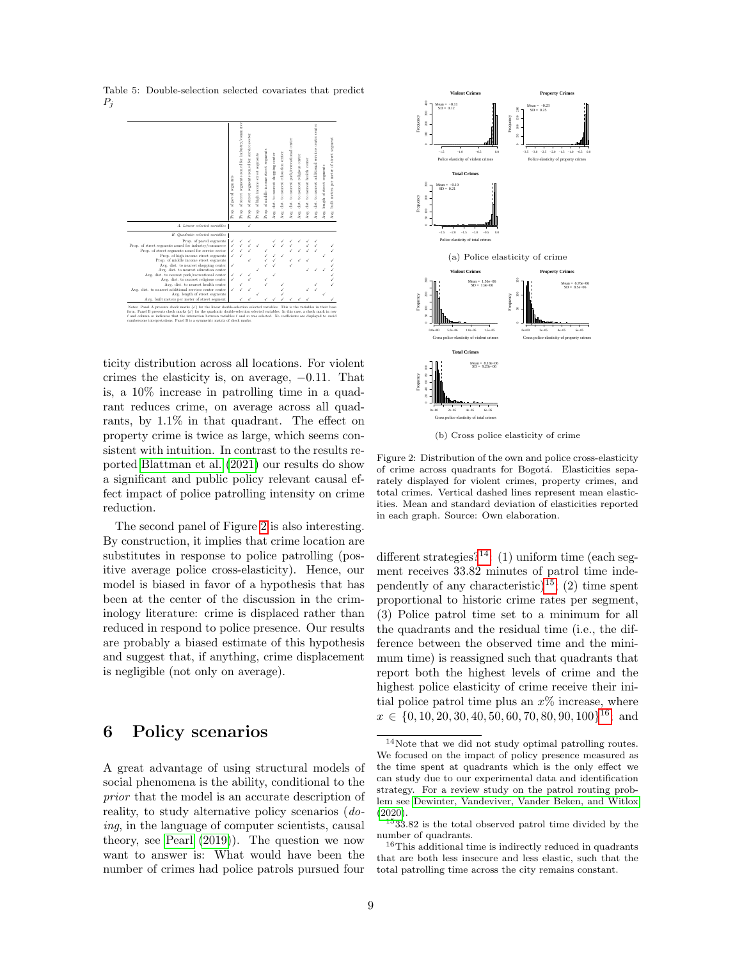<span id="page-8-0"></span>

Table 5: Double-selection selected covariates that predict  $P_j$ 

ticity distribution across all locations. For violent crimes the elasticity is, on average, −0.11. That is, a 10% increase in patrolling time in a quadrant reduces crime, on average across all quadrants, by 1.1% in that quadrant. The effect on property crime is twice as large, which seems consistent with intuition. In contrast to the results reported [Blattman et al.](#page-10-0) [\(2021\)](#page-10-0) our results do show a significant and public policy relevant causal effect impact of police patrolling intensity on crime reduction.

The second panel of Figure [2](#page-8-1) is also interesting. By construction, it implies that crime location are substitutes in response to police patrolling (positive average police cross-elasticity). Hence, our model is biased in favor of a hypothesis that has been at the center of the discussion in the criminology literature: crime is displaced rather than reduced in respond to police presence. Our results are probably a biased estimate of this hypothesis and suggest that, if anything, crime displacement is negligible (not only on average).

## <span id="page-8-5"></span>6 Policy scenarios

A great advantage of using structural models of social phenomena is the ability, conditional to the prior that the model is an accurate description of reality, to study alternative policy scenarios (doing, in the language of computer scientists, causal theory, see [Pearl](#page-11-19) [\(2019\)](#page-11-19)). The question we now want to answer is: What would have been the number of crimes had police patrols pursued four

<span id="page-8-1"></span>

(b) Cross police elasticity of crime

Figure 2: Distribution of the own and police cross-elasticity of crime across quadrants for Bogotá. Elasticities separately displayed for violent crimes, property crimes, and total crimes. Vertical dashed lines represent mean elasticities. Mean and standard deviation of elasticities reported in each graph. Source: Own elaboration.

different strategies?<sup>[14](#page-8-2)</sup>: (1) uniform time (each segment receives 33.82 minutes of patrol time inde-pendently of any characteristic)<sup>[15](#page-8-3)</sup>; (2) time spent proportional to historic crime rates per segment, (3) Police patrol time set to a minimum for all the quadrants and the residual time (i.e., the difference between the observed time and the minimum time) is reassigned such that quadrants that report both the highest levels of crime and the highest police elasticity of crime receive their initial police patrol time plus an  $x\%$  increase, where  $x \in \{0, 10, 20, 30, 40, 50, 60, 70, 80, 90, 100\}^{16}$  $x \in \{0, 10, 20, 30, 40, 50, 60, 70, 80, 90, 100\}^{16}$  $x \in \{0, 10, 20, 30, 40, 50, 60, 70, 80, 90, 100\}^{16}$ ; and

<span id="page-8-2"></span><sup>14</sup>Note that we did not study optimal patrolling routes. We focused on the impact of policy presence measured as the time spent at quadrants which is the only effect we can study due to our experimental data and identification strategy. For a review study on the patrol routing problem see [Dewinter, Vandeviver, Vander Beken, and Witlox](#page-11-20) [\(2020\)](#page-11-20).

<span id="page-8-3"></span> $1533.82$  is the total observed patrol time divided by the number of quadrants.

<span id="page-8-4"></span><sup>16</sup>This additional time is indirectly reduced in quadrants that are both less insecure and less elastic, such that the total patrolling time across the city remains constant.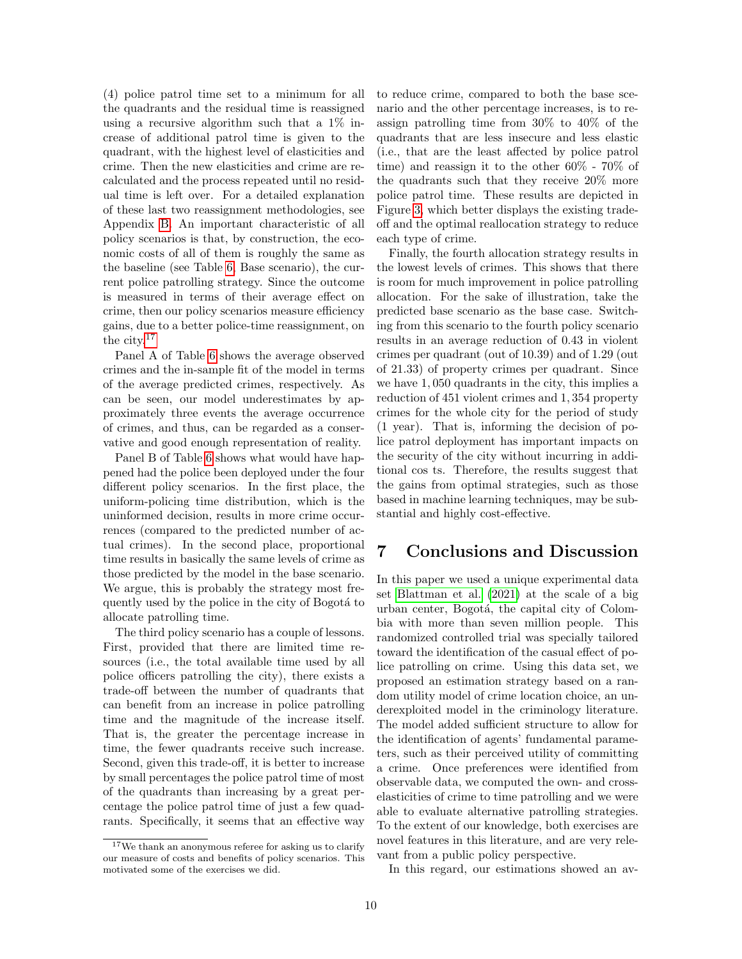(4) police patrol time set to a minimum for all the quadrants and the residual time is reassigned using a recursive algorithm such that a 1% increase of additional patrol time is given to the quadrant, with the highest level of elasticities and crime. Then the new elasticities and crime are recalculated and the process repeated until no residual time is left over. For a detailed explanation of these last two reassignment methodologies, see Appendix [B.](#page-12-8) An important characteristic of all policy scenarios is that, by construction, the economic costs of all of them is roughly the same as the baseline (see Table [6,](#page-10-5) Base scenario), the current police patrolling strategy. Since the outcome is measured in terms of their average effect on crime, then our policy scenarios measure efficiency gains, due to a better police-time reassignment, on the city.[17](#page-9-0)

Panel A of Table [6](#page-10-5) shows the average observed crimes and the in-sample fit of the model in terms of the average predicted crimes, respectively. As can be seen, our model underestimates by approximately three events the average occurrence of crimes, and thus, can be regarded as a conservative and good enough representation of reality.

Panel B of Table [6](#page-10-5) shows what would have happened had the police been deployed under the four different policy scenarios. In the first place, the uniform-policing time distribution, which is the uninformed decision, results in more crime occurrences (compared to the predicted number of actual crimes). In the second place, proportional time results in basically the same levels of crime as those predicted by the model in the base scenario. We argue, this is probably the strategy most frequently used by the police in the city of Bogota<sup>t</sup> to allocate patrolling time.

The third policy scenario has a couple of lessons. First, provided that there are limited time resources (i.e., the total available time used by all police officers patrolling the city), there exists a trade-off between the number of quadrants that can benefit from an increase in police patrolling time and the magnitude of the increase itself. That is, the greater the percentage increase in time, the fewer quadrants receive such increase. Second, given this trade-off, it is better to increase by small percentages the police patrol time of most of the quadrants than increasing by a great percentage the police patrol time of just a few quadrants. Specifically, it seems that an effective way

<span id="page-9-0"></span><sup>17</sup>We thank an anonymous referee for asking us to clarify our measure of costs and benefits of policy scenarios. This motivated some of the exercises we did.

to reduce crime, compared to both the base scenario and the other percentage increases, is to reassign patrolling time from 30% to 40% of the quadrants that are less insecure and less elastic (i.e., that are the least affected by police patrol time) and reassign it to the other 60% - 70% of the quadrants such that they receive 20% more police patrol time. These results are depicted in Figure [3,](#page-10-6) which better displays the existing tradeoff and the optimal reallocation strategy to reduce each type of crime.

Finally, the fourth allocation strategy results in the lowest levels of crimes. This shows that there is room for much improvement in police patrolling allocation. For the sake of illustration, take the predicted base scenario as the base case. Switching from this scenario to the fourth policy scenario results in an average reduction of 0.43 in violent crimes per quadrant (out of 10.39) and of 1.29 (out of 21.33) of property crimes per quadrant. Since we have 1, 050 quadrants in the city, this implies a reduction of 451 violent crimes and 1, 354 property crimes for the whole city for the period of study (1 year). That is, informing the decision of police patrol deployment has important impacts on the security of the city without incurring in additional cos ts. Therefore, the results suggest that the gains from optimal strategies, such as those based in machine learning techniques, may be substantial and highly cost-effective.

## 7 Conclusions and Discussion

In this paper we used a unique experimental data set [Blattman et al.](#page-10-0) [\(2021\)](#page-10-0) at the scale of a big urban center, Bogotá, the capital city of Colombia with more than seven million people. This randomized controlled trial was specially tailored toward the identification of the casual effect of police patrolling on crime. Using this data set, we proposed an estimation strategy based on a random utility model of crime location choice, an underexploited model in the criminology literature. The model added sufficient structure to allow for the identification of agents' fundamental parameters, such as their perceived utility of committing a crime. Once preferences were identified from observable data, we computed the own- and crosselasticities of crime to time patrolling and we were able to evaluate alternative patrolling strategies. To the extent of our knowledge, both exercises are novel features in this literature, and are very relevant from a public policy perspective.

In this regard, our estimations showed an av-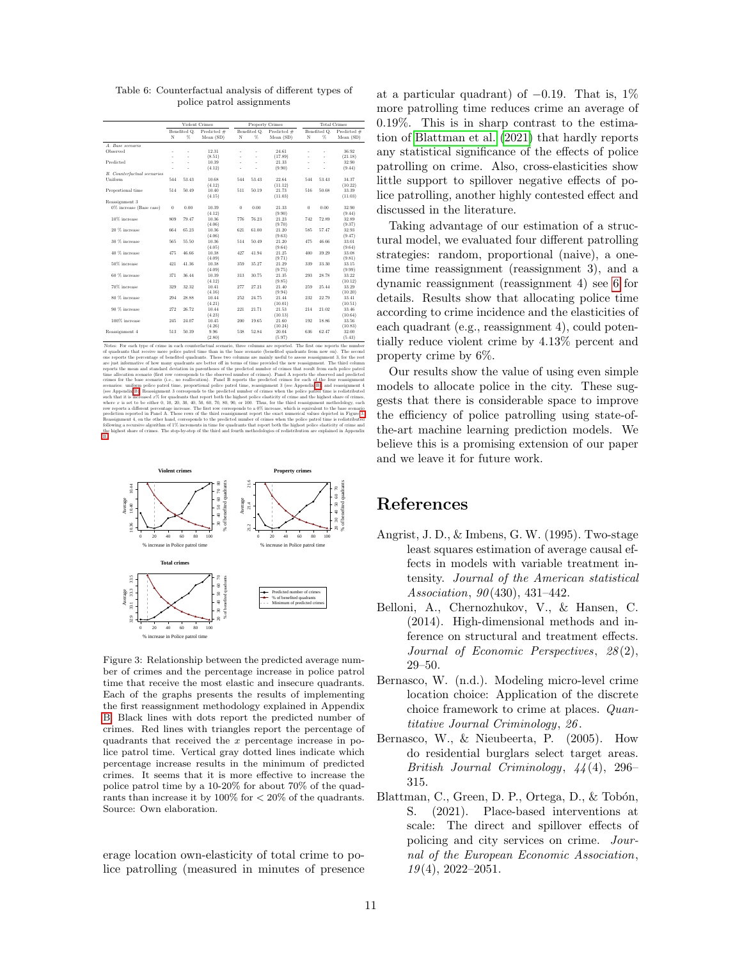<span id="page-10-5"></span>

|                                    | Violent Crimes |                      |                            | Property Crimes |                   |                          | <b>Total Crimes</b> |                    |                            |
|------------------------------------|----------------|----------------------|----------------------------|-----------------|-------------------|--------------------------|---------------------|--------------------|----------------------------|
|                                    | N              | Benefited O.<br>$\%$ | Predicted $#$<br>Mean (SD) | N               | Benefited O.<br>% | Predicted #<br>Mean (SD) | N                   | Benefited O.<br>%. | Predicted $#$<br>Mean (SD) |
|                                    |                |                      |                            |                 |                   |                          |                     |                    |                            |
| A. Base scenario                   |                |                      |                            |                 |                   |                          |                     |                    |                            |
| Observed                           |                | ٠                    | 12.31                      | ٠               | ×,                | 24.61                    | ٠                   | ä,                 | 36.92                      |
|                                    |                |                      | (8.51)                     |                 | ÷                 | (17.89)                  |                     | J.                 | (21.18)                    |
| Predicted                          |                | ÷.                   | 10.39                      | ÷.              | ÷                 | 21.33                    |                     | J.                 | 32.90                      |
|                                    |                | ٠                    | (4.12)                     |                 |                   | (9.90)                   |                     | i.                 | (9.44)                     |
| <b>B.</b> Counterfactual scenarios |                |                      |                            |                 |                   |                          |                     |                    |                            |
| Uniform                            | 544            | 53.43                | 10.68                      | 544             | 53.43             | 22.64                    | 544                 | 53.43              | 34.37                      |
|                                    |                |                      | (4.12)                     |                 |                   | (11.12)                  |                     |                    | (10.22)                    |
| Proportional time                  | 514            | 50.49                | 10.40                      | 511             | 50.19             | 21.73                    | 516                 | 50.68              | 33.39                      |
|                                    |                |                      | (4.15)                     |                 |                   | (11.03)                  |                     |                    | (11.03)                    |
| Reassignment 3                     |                |                      |                            |                 |                   |                          |                     |                    |                            |
| 0% increase (Base case)            | $\bf{0}$       | 0.00                 | 10.39                      | $\overline{0}$  | 0.00              | 21.33                    | $\bf{0}$            | 0.00               | 32.90                      |
|                                    |                |                      | (4.12)                     |                 |                   | (9.90)                   |                     |                    | (9.44)                     |
| 10% increase                       | 809            | 79.47                | 10.36                      | 776             | 76.23             | 21.23                    | 742                 | 72.89              | 32.89                      |
|                                    |                |                      | (4.06)                     |                 |                   | (9.70)                   |                     |                    | (9.37)                     |
| 20 % increase                      | 664            | 65.23                | 10.36                      | 621             | 61.00             | 21.20                    | 585                 | 57.47              | 32.93                      |
|                                    |                |                      | (4.06)                     |                 |                   | (9.63)                   |                     |                    | (9.47)                     |
| 30 % increase                      | 565            | 55.50                | 10.36                      | 514             | 50.49             | 21.20                    | 475                 | 46.66              | 33.01                      |
|                                    |                |                      | (4.05)                     |                 |                   | (9.64)                   |                     |                    | (9.64)                     |
| 40 % increase                      | 475            | 46.66                | 10.38                      | 427             | 41.94             | 21.25                    | 400                 | 39.29              | 33.08                      |
|                                    |                |                      | (4.09)                     |                 |                   | (9.71)                   |                     |                    | (9.81)                     |
| 50% increase                       | 421            | 41.36                | 10.38                      | 359             | 35.27             | 21.29                    | 339                 | 33.30              | 33.15                      |
|                                    |                |                      | (4.09)                     |                 |                   | (9.75)                   |                     |                    | (9.99)                     |
| 60 % increase                      | 371            | 36.44                | 10.39                      | 313             | 30.75             | 21.35                    | 293                 | 28.78              | 33.22                      |
|                                    |                |                      | (4.12)                     |                 |                   | (9.85)                   |                     |                    | (10.12)                    |
| 70% increase                       | 329            | 32.32                | 10.41                      | 277             | 27.21             | 21.40                    | 259                 | 25.44              | 33.29                      |
|                                    |                |                      | (4.16)                     |                 |                   | (9.94)                   |                     |                    | (10.20)                    |
| 80 % increase                      | 294            | 28.88                | 10.44                      | 252             | 24.75             | 21.44                    | 232                 | 22.79              | 33.41                      |
|                                    |                |                      | (4.21)                     |                 |                   | (10.01)                  |                     |                    | (10.51)                    |
| 90 % increase                      | 272            | 26.72                | 10.44                      | 221             | 21.71             | 21.53                    | 214                 | 21.02              | 33.46                      |
|                                    |                |                      | (4.23)                     |                 |                   | (10.13)                  |                     |                    | (10.64)                    |
| 100% increase                      | 245            | 24.07                | 10.45                      | 200             | 19.65             | 21.60                    | 192                 | 18.86              | 33.56                      |
|                                    |                |                      | (4.26)                     |                 |                   | (10.24)                  |                     |                    | (10.83)                    |
| Reassignment 4                     | 513            | 50.39                | 9.96                       | 538             | 52.84             | 20.04                    | 636                 | 62.47              | 32.00                      |
|                                    |                |                      |                            |                 |                   |                          |                     |                    |                            |
|                                    |                |                      | (2.80)                     |                 |                   | (5.97)                   |                     |                    | (5.43)                     |

Table 6: Counterfactual analysis of different types of police patrol assignments

Notes: For each type of crime in each counterfactual scenario, three columns are reported. The first one reports the number Notes: For each type of crime in each counterfactual scenario, three columns are reported. The first one reports the number of quadrants that receive more police patrol time than in the base scenario (benefited quadrants of quadrants that receive more police patrol time than in the base scenario (benefited quadrants from now on). The second one reports the percentage of benefited quadrants. These two columns are mainly useful to assess re one reports the percentage of benefited quadrants. These two columns are mainly useful to assess reassignment 3, for the rest are just informative of how many quadrants are better off in terms of time provided the new reas are just informative of how many quadrants are better off in terms of time provided the new reassignment. The third column reports the mean and standard deviation in parentheses of the predicted number of crimes that resu reports the mean and standard deviation in parentheses of the predicted number of crimes that result from each police patrol time allocation scenario (first row corresponds to the observed number of crimes). Panel A repor time allocation securito (first row corresponds to the observed number of crimes). Panel A reports the observed and precision ferminalized crimes for the base scenario (i.e., no reallocation). Panel B reports the predicte Reassignment 4, on the other hand, corresponds to the predicted number of crimes when the police patrol time is redistributed<br>following a recursive algorithm of 1% increments in time for quadrants that report both the high following a recursive algorithm of 1% increments in time for quadrants that report both the highest police elasticity of crime and the highest share of crimes. The step-by-step of the third and fourth methodologies of redi

<span id="page-10-6"></span>

Figure 3: Relationship between the predicted average number of crimes and the percentage increase in police patrol time that receive the most elastic and insecure quadrants. Each of the graphs presents the results of implementing the first reassignment methodology explained in Appendix [B.](#page-12-8) Black lines with dots report the predicted number of crimes. Red lines with triangles report the percentage of quadrants that received the x percentage increase in police patrol time. Vertical gray dotted lines indicate which percentage increase results in the minimum of predicted crimes. It seems that it is more effective to increase the police patrol time by a 10-20% for about 70% of the quadrants than increase it by  $100\%$  for  $\lt 20\%$  of the quadrants. Source: Own elaboration.

erage location own-elasticity of total crime to police patrolling (measured in minutes of presence at a particular quadrant) of  $-0.19$ . That is, 1% more patrolling time reduces crime an average of 0.19%. This is in sharp contrast to the estimation of [Blattman et al.](#page-10-0) [\(2021\)](#page-10-0) that hardly reports any statistical significance of the effects of police patrolling on crime. Also, cross-elasticities show little support to spillover negative effects of police patrolling, another highly contested effect and discussed in the literature.

Taking advantage of our estimation of a structural model, we evaluated four different patrolling strategies: random, proportional (naive), a onetime time reassignment (reassignment 3), and a dynamic reassignment (reassignment 4) see [6](#page-8-5) for details. Results show that allocating police time according to crime incidence and the elasticities of each quadrant (e.g., reassignment 4), could potentially reduce violent crime by 4.13% percent and property crime by 6%.

Our results show the value of using even simple models to allocate police in the city. These suggests that there is considerable space to improve the efficiency of police patrolling using state-ofthe-art machine learning prediction models. We believe this is a promising extension of our paper and we leave it for future work.

## References

- <span id="page-10-3"></span>Angrist, J. D., & Imbens, G. W. (1995). Two-stage least squares estimation of average causal effects in models with variable treatment intensity. Journal of the American statistical Association, 90(430), 431-442.
- <span id="page-10-4"></span>Belloni, A., Chernozhukov, V., & Hansen, C. (2014). High-dimensional methods and inference on structural and treatment effects. Journal of Economic Perspectives, 28(2), 29–50.
- <span id="page-10-2"></span>Bernasco, W. (n.d.). Modeling micro-level crime location choice: Application of the discrete choice framework to crime at places. Quantitative Journal Criminology, 26 .
- <span id="page-10-1"></span>Bernasco, W., & Nieubeerta, P. (2005). How do residential burglars select target areas. British Journal Criminology, 44 (4), 296– 315.
- <span id="page-10-0"></span>Blattman, C., Green, D. P., Ortega, D., & Tobón, S. (2021). Place-based interventions at scale: The direct and spillover effects of policing and city services on crime. Journal of the European Economic Association,  $19(4)$ ,  $2022-2051$ .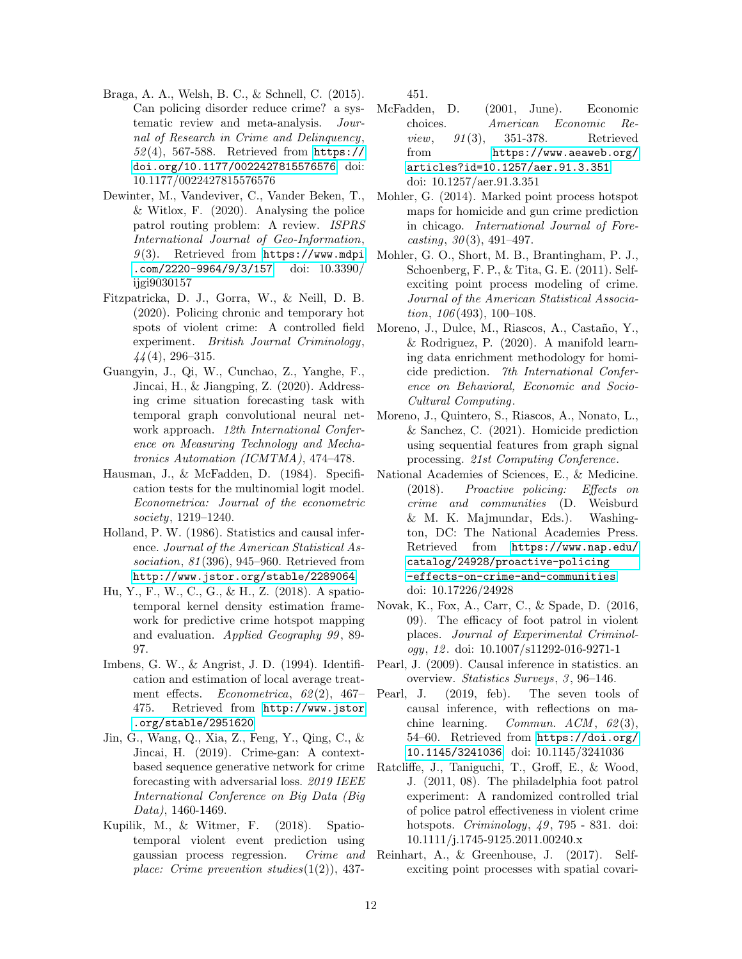- <span id="page-11-11"></span>Braga, A. A., Welsh, B. C., & Schnell, C. (2015). Can policing disorder reduce crime? a systematic review and meta-analysis. Journal of Research in Crime and Delinquency, 52 (4), 567-588. Retrieved from [https://](https://doi.org/10.1177/0022427815576576) [doi.org/10.1177/0022427815576576](https://doi.org/10.1177/0022427815576576) doi: 10.1177/0022427815576576
- <span id="page-11-20"></span>Dewinter, M., Vandeviver, C., Vander Beken, T., & Witlox, F. (2020). Analysing the police patrol routing problem: A review. ISPRS International Journal of Geo-Information,  $9(3)$ . Retrieved from [https://www.mdpi](https://www.mdpi.com/2220-9964/9/3/157) [.com/2220-9964/9/3/157](https://www.mdpi.com/2220-9964/9/3/157) doi: 10.3390/ ijgi9030157
- <span id="page-11-14"></span>Fitzpatricka, D. J., Gorra, W., & Neill, D. B. (2020). Policing chronic and temporary hot spots of violent crime: A controlled field experiment. British Journal Criminology,  $44(4)$ , 296–315.
- <span id="page-11-0"></span>Guangyin, J., Qi, W., Cunchao, Z., Yanghe, F., Jincai, H., & Jiangping, Z. (2020). Addressing crime situation forecasting task with temporal graph convolutional neural network approach. 12th International Conference on Measuring Technology and Mechatronics Automation (ICMTMA), 474–478.
- <span id="page-11-17"></span>Hausman, J., & McFadden, D. (1984). Specification tests for the multinomial logit model. Econometrica: Journal of the econometric society, 1219–1240.
- <span id="page-11-9"></span>Holland, P. W. (1986). Statistics and causal inference. Journal of the American Statistical Association, 81 (396), 945–960. Retrieved from <http://www.jstor.org/stable/2289064>
- <span id="page-11-2"></span>Hu, Y., F., W., C., G., & H., Z. (2018). A spatiotemporal kernel density estimation framework for predictive crime hotspot mapping and evaluation. Applied Geography 99 , 89- 97.
- <span id="page-11-18"></span>Imbens, G. W., & Angrist, J. D. (1994). Identification and estimation of local average treatment effects. Econometrica,  $62(2)$ ,  $467-$ 475. Retrieved from [http://www.jstor](http://www.jstor.org/stable/2951620) [.org/stable/2951620](http://www.jstor.org/stable/2951620)
- <span id="page-11-3"></span>Jin, G., Wang, Q., Xia, Z., Feng, Y., Qing, C., & Jincai, H. (2019). Crime-gan: A contextbased sequence generative network for crime forecasting with adversarial loss. 2019 IEEE International Conference on Big Data (Big Data), 1460-1469.
- <span id="page-11-4"></span>Kupilik, M., & Witmer, F. (2018). Spatiotemporal violent event prediction using gaussian process regression. Crime and place: Crime prevention studies $(1(2))$ , 437-

451.

- <span id="page-11-16"></span>McFadden, D. (2001, June). Economic choices. American Economic Re*view*, 91(3), 351-378. Retrieved from [https://www.aeaweb.org/](https://www.aeaweb.org/articles?id=10.1257/aer.91.3.351) [articles?id=10.1257/aer.91.3.351](https://www.aeaweb.org/articles?id=10.1257/aer.91.3.351) doi: 10.1257/aer.91.3.351
- <span id="page-11-7"></span>Mohler, G. (2014). Marked point process hotspot maps for homicide and gun crime prediction in chicago. International Journal of Fore $casting, 30(3), 491-497.$
- <span id="page-11-6"></span>Mohler, G. O., Short, M. B., Brantingham, P. J., Schoenberg, F. P., & Tita, G. E. (2011). Selfexciting point process modeling of crime. Journal of the American Statistical Associa $tion, 106 (493), 100-108.$
- <span id="page-11-5"></span>Moreno, J., Dulce, M., Riascos, A., Castaño, Y., & Rodriguez, P. (2020). A manifold learning data enrichment methodology for homicide prediction. 7th International Conference on Behavioral, Economic and Socio-Cultural Computing.
- <span id="page-11-1"></span>Moreno, J., Quintero, S., Riascos, A., Nonato, L., & Sanchez, C. (2021). Homicide prediction using sequential features from graph signal processing. 21st Computing Conference.
- <span id="page-11-10"></span>National Academies of Sciences, E., & Medicine. (2018). Proactive policing: Effects on crime and communities (D. Weisburd & M. K. Majmundar, Eds.). Washington, DC: The National Academies Press. Retrieved from [https://www.nap.edu/](https://www.nap.edu/catalog/24928/proactive-policing-effects-on-crime-and-communities) [catalog/24928/proactive-policing](https://www.nap.edu/catalog/24928/proactive-policing-effects-on-crime-and-communities) [-effects-on-crime-and-communities](https://www.nap.edu/catalog/24928/proactive-policing-effects-on-crime-and-communities) doi: 10.17226/24928
- <span id="page-11-13"></span>Novak, K., Fox, A., Carr, C., & Spade, D. (2016, 09). The efficacy of foot patrol in violent places. Journal of Experimental Criminology, 12 . doi: 10.1007/s11292-016-9271-1
- <span id="page-11-15"></span>Pearl, J. (2009). Causal inference in statistics. an overview. Statistics Surveys, 3, 96-146.
- <span id="page-11-19"></span>Pearl, J. (2019, feb). The seven tools of causal inference, with reflections on machine learning. Commun.  $ACM$ ,  $62(3)$ , 54–60. Retrieved from [https://doi.org/](https://doi.org/10.1145/3241036) [10.1145/3241036](https://doi.org/10.1145/3241036) doi: 10.1145/3241036
- <span id="page-11-12"></span>Ratcliffe, J., Taniguchi, T., Groff, E., & Wood, J. (2011, 08). The philadelphia foot patrol experiment: A randomized controlled trial of police patrol effectiveness in violent crime hotspots. *Criminology*, 49, 795 - 831. doi: 10.1111/j.1745-9125.2011.00240.x
- <span id="page-11-8"></span>Reinhart, A., & Greenhouse, J. (2017). Selfexciting point processes with spatial covari-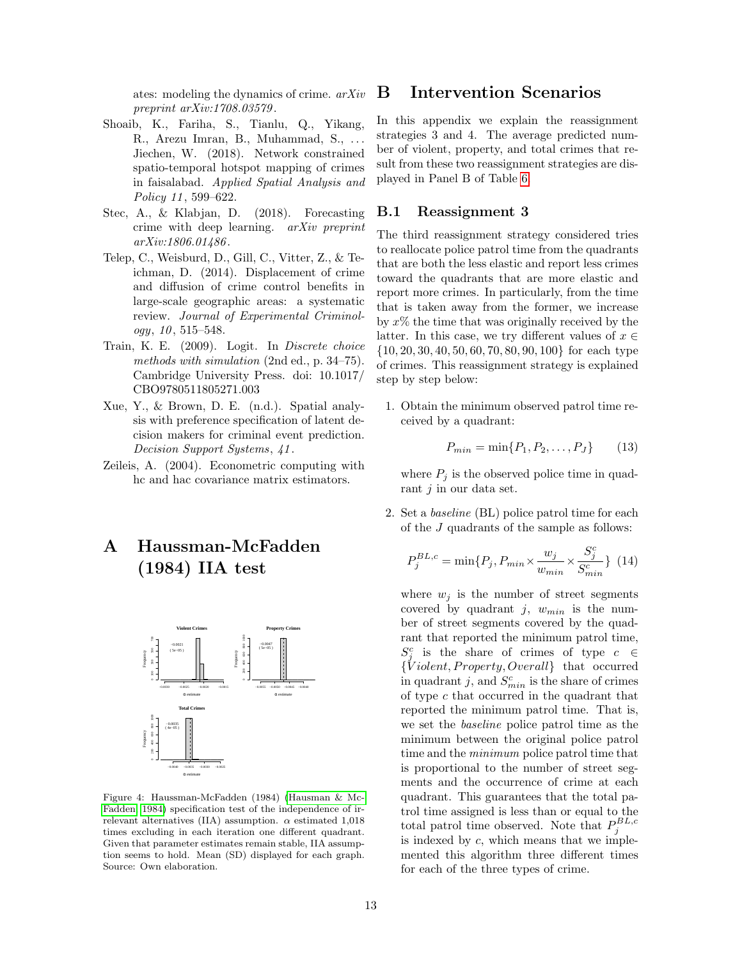ates: modeling the dynamics of crime. arXiv preprint arXiv:1708.03579 .

- <span id="page-12-0"></span>Shoaib, K., Fariha, S., Tianlu, Q., Yikang, R., Arezu Imran, B., Muhammad, S., . . . Jiechen, W. (2018). Network constrained spatio-temporal hotspot mapping of crimes in faisalabad. Applied Spatial Analysis and Policy 11, 599–622.
- <span id="page-12-1"></span>Stec, A., & Klabjan, D. (2018). Forecasting crime with deep learning. arXiv preprint arXiv:1806.01486 .
- <span id="page-12-2"></span>Telep, C., Weisburd, D., Gill, C., Vitter, Z., & Teichman, D. (2014). Displacement of crime and diffusion of crime control benefits in large-scale geographic areas: a systematic review. Journal of Experimental Criminol $ogy, 10, 515 - 548.$
- <span id="page-12-4"></span>Train, K. E. (2009). Logit. In Discrete choice methods with simulation (2nd ed., p. 34–75). Cambridge University Press. doi: 10.1017/ CBO9780511805271.003
- <span id="page-12-3"></span>Xue, Y., & Brown, D. E. (n.d.). Spatial analysis with preference specification of latent decision makers for criminal event prediction. Decision Support Systems, 41 .
- <span id="page-12-7"></span>Zeileis, A. (2004). Econometric computing with hc and hac covariance matrix estimators.

# <span id="page-12-5"></span>A Haussman-McFadden (1984) IIA test

<span id="page-12-6"></span>

Figure 4: Haussman-McFadden (1984) [\(Hausman & Mc-](#page-11-17)[Fadden, 1984\)](#page-11-17) specification test of the independence of irrelevant alternatives (IIA) assumption.  $\alpha$  estimated 1,018 times excluding in each iteration one different quadrant. Given that parameter estimates remain stable, IIA assumption seems to hold. Mean (SD) displayed for each graph. Source: Own elaboration.

## <span id="page-12-8"></span>B Intervention Scenarios

In this appendix we explain the reassignment strategies 3 and 4. The average predicted number of violent, property, and total crimes that result from these two reassignment strategies are displayed in Panel B of Table [6.](#page-10-5)

#### B.1 Reassignment 3

The third reassignment strategy considered tries to reallocate police patrol time from the quadrants that are both the less elastic and report less crimes toward the quadrants that are more elastic and report more crimes. In particularly, from the time that is taken away from the former, we increase by  $x\%$  the time that was originally received by the latter. In this case, we try different values of  $x \in$ {10, 20, 30, 40, 50, 60, 70, 80, 90, 100} for each type of crimes. This reassignment strategy is explained step by step below:

1. Obtain the minimum observed patrol time received by a quadrant:

$$
P_{min} = \min\{P_1, P_2, \dots, P_J\} \tag{13}
$$

where  $P_i$  is the observed police time in quadrant  $i$  in our data set.

2. Set a baseline (BL) police patrol time for each of the J quadrants of the sample as follows:

$$
P_j^{BL,c} = \min\{P_j, P_{min} \times \frac{w_j}{w_{min}} \times \frac{S_j^c}{S_{min}^c}\} \quad (14)
$$

where  $w_j$  is the number of street segments covered by quadrant j,  $w_{min}$  is the number of street segments covered by the quadrant that reported the minimum patrol time,  $S_j^c$  is the share of crimes of type  $c \in$  $\{V\in H, Property, Overall\}$  that occurred in quadrant j, and  $S_{min}^c$  is the share of crimes of type  $c$  that occurred in the quadrant that reported the minimum patrol time. That is, we set the baseline police patrol time as the minimum between the original police patrol time and the minimum police patrol time that is proportional to the number of street segments and the occurrence of crime at each quadrant. This guarantees that the total patrol time assigned is less than or equal to the total patrol time observed. Note that  $P_j^{BL,c}$ is indexed by  $c$ , which means that we implemented this algorithm three different times for each of the three types of crime.